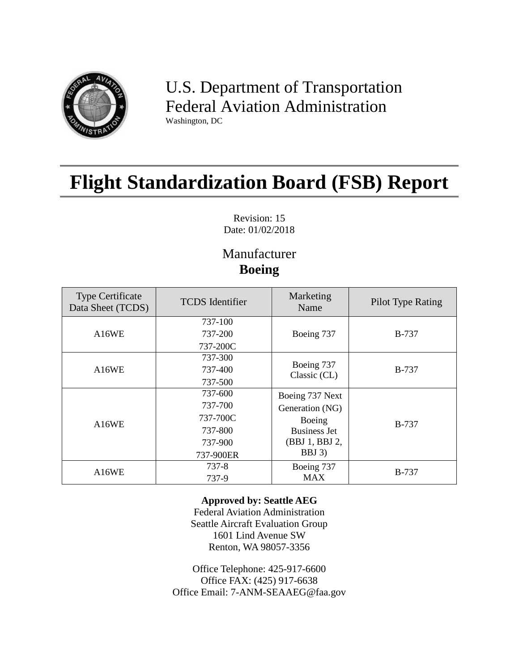

U.S. Department of Transportation Federal Aviation Administration Washington, DC

# **Flight Standardization Board (FSB) Report**

Revision: 15 Date: 01/02/2018

# Manufacturer **Boeing**

| <b>Type Certificate</b><br>Data Sheet (TCDS) | <b>TCDS</b> Identifier | Marketing<br>Name          | Pilot Type Rating |  |
|----------------------------------------------|------------------------|----------------------------|-------------------|--|
|                                              | 737-100                |                            |                   |  |
| A16WE                                        | 737-200                | Boeing 737                 | <b>B-737</b>      |  |
|                                              | 737-200C               |                            |                   |  |
|                                              | 737-300                |                            |                   |  |
| A16WE                                        | 737-400                | Boeing 737<br>Classic (CL) | <b>B-737</b>      |  |
|                                              | 737-500                |                            |                   |  |
|                                              | 737-600                | Boeing 737 Next            |                   |  |
|                                              | 737-700                | Generation (NG)            |                   |  |
| A16WE                                        | 737-700C               | Boeing                     | <b>B-737</b>      |  |
|                                              | 737-800                | <b>Business Jet</b>        |                   |  |
|                                              | 737-900                | (BBJ 1, BBJ 2,             |                   |  |
|                                              | 737-900ER              | $BBJ$ 3)                   |                   |  |
|                                              | $737 - 8$              | Boeing 737                 | <b>B-737</b>      |  |
| A16WE                                        | 737-9                  | <b>MAX</b>                 |                   |  |

#### **Approved by: Seattle AEG**

Federal Aviation Administration Seattle Aircraft Evaluation Group 1601 Lind Avenue SW Renton, WA 98057-3356

Office Telephone: 425-917-6600 Office FAX: (425) 917-6638 Office Email: 7-ANM-SEAAEG@faa.gov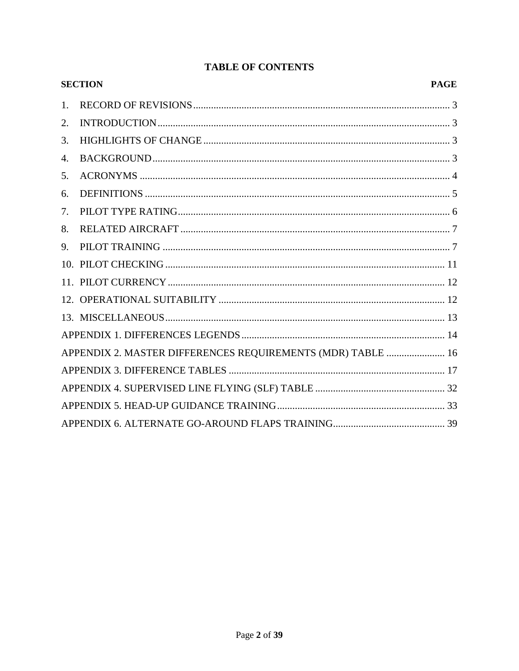|    | <b>SECTION</b>                                              | <b>PAGE</b> |
|----|-------------------------------------------------------------|-------------|
| 1. |                                                             |             |
| 2. |                                                             |             |
| 3. |                                                             |             |
| 4. |                                                             |             |
| 5. |                                                             |             |
| 6. |                                                             |             |
| 7. |                                                             |             |
| 8. |                                                             |             |
| 9. |                                                             |             |
|    |                                                             |             |
|    |                                                             |             |
|    |                                                             |             |
|    |                                                             |             |
|    |                                                             |             |
|    | APPENDIX 2. MASTER DIFFERENCES REQUIREMENTS (MDR) TABLE  16 |             |
|    |                                                             |             |
|    |                                                             |             |
|    |                                                             |             |
|    |                                                             |             |

#### **TABLE OF CONTENTS**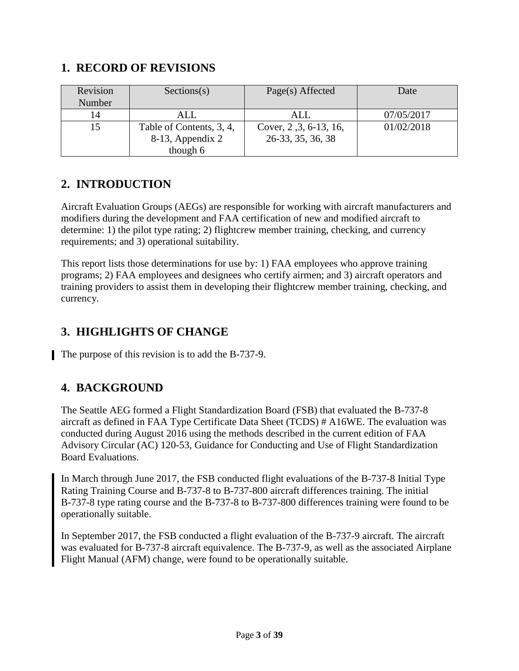#### <span id="page-2-0"></span>**1. RECORD OF REVISIONS**

| Revision | Sections(s)              | Page(s) Affected       | Date       |  |
|----------|--------------------------|------------------------|------------|--|
| Number   |                          |                        |            |  |
| 14       | ALL                      | ALL                    | 07/05/2017 |  |
| 15       | Table of Contents, 3, 4, | Cover, 2, 3, 6-13, 16, | 01/02/2018 |  |
|          | 8-13, Appendix 2         | 26-33, 35, 36, 38      |            |  |
|          | though 6                 |                        |            |  |

### <span id="page-2-1"></span>**2. INTRODUCTION**

Aircraft Evaluation Groups (AEGs) are responsible for working with aircraft manufacturers and modifiers during the development and FAA certification of new and modified aircraft to determine: 1) the pilot type rating; 2) flightcrew member training, checking, and currency requirements; and 3) operational suitability.

This report lists those determinations for use by: 1) FAA employees who approve training programs; 2) FAA employees and designees who certify airmen; and 3) aircraft operators and training providers to assist them in developing their flightcrew member training, checking, and currency.

# <span id="page-2-2"></span>**3. HIGHLIGHTS OF CHANGE**

The purpose of this revision is to add the B-737-9.

# <span id="page-2-3"></span>**4. BACKGROUND**

The Seattle AEG formed a Flight Standardization Board (FSB) that evaluated the B-737-8 aircraft as defined in FAA Type Certificate Data Sheet (TCDS) # A16WE. The evaluation was conducted during August 2016 using the methods described in the current edition of FAA Advisory Circular (AC) 120-53, Guidance for Conducting and Use of Flight Standardization Board Evaluations.

In March through June 2017, the FSB conducted flight evaluations of the B-737-8 Initial Type Rating Training Course and B-737-8 to B-737-800 aircraft differences training. The initial B-737-8 type rating course and the B-737-8 to B-737-800 differences training were found to be operationally suitable.

In September 2017, the FSB conducted a flight evaluation of the B-737-9 aircraft. The aircraft was evaluated for B-737-8 aircraft equivalence. The B-737-9, as well as the associated Airplane Flight Manual (AFM) change, were found to be operationally suitable.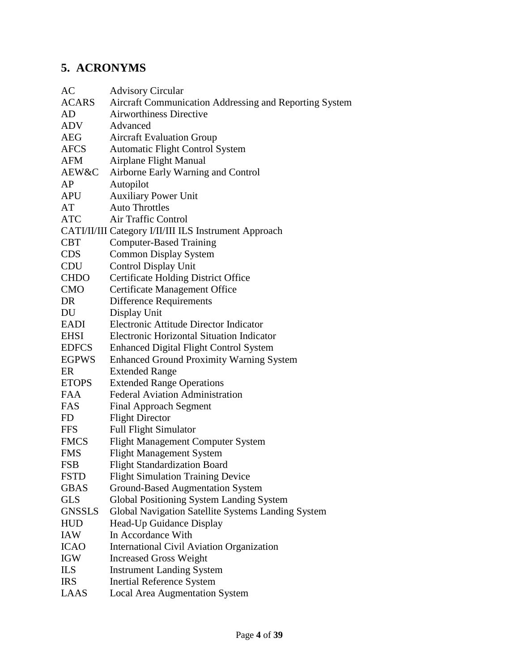# <span id="page-3-0"></span>**5. ACRONYMS**

| AC            | <b>Advisory Circular</b>                               |
|---------------|--------------------------------------------------------|
| <b>ACARS</b>  | Aircraft Communication Addressing and Reporting System |
| AD            | <b>Airworthiness Directive</b>                         |
| ADV           | Advanced                                               |
| $\rm{AEG}$    | <b>Aircraft Evaluation Group</b>                       |
| AFCS          | <b>Automatic Flight Control System</b>                 |
| AFM           | <b>Airplane Flight Manual</b>                          |
| AEW&C         | Airborne Early Warning and Control                     |
| AP            | Autopilot                                              |
| APU           | <b>Auxiliary Power Unit</b>                            |
| AT            | <b>Auto Throttles</b>                                  |
| <b>ATC</b>    | Air Traffic Control                                    |
|               | CATI/II/III Category I/II/III ILS Instrument Approach  |
| <b>CBT</b>    | <b>Computer-Based Training</b>                         |
| <b>CDS</b>    | <b>Common Display System</b>                           |
| CDU           | <b>Control Display Unit</b>                            |
| <b>CHDO</b>   | <b>Certificate Holding District Office</b>             |
| <b>CMO</b>    | <b>Certificate Management Office</b>                   |
| DR            | <b>Difference Requirements</b>                         |
| DU            | Display Unit                                           |
| <b>EADI</b>   | Electronic Attitude Director Indicator                 |
| <b>EHSI</b>   | <b>Electronic Horizontal Situation Indicator</b>       |
| <b>EDFCS</b>  | <b>Enhanced Digital Flight Control System</b>          |
| <b>EGPWS</b>  | <b>Enhanced Ground Proximity Warning System</b>        |
| ER            | <b>Extended Range</b>                                  |
| <b>ETOPS</b>  | <b>Extended Range Operations</b>                       |
| <b>FAA</b>    | <b>Federal Aviation Administration</b>                 |
| <b>FAS</b>    | <b>Final Approach Segment</b>                          |
| FD            | <b>Flight Director</b>                                 |
| <b>FFS</b>    | <b>Full Flight Simulator</b>                           |
| <b>FMCS</b>   | <b>Flight Management Computer System</b>               |
| <b>FMS</b>    | <b>Flight Management System</b>                        |
| <b>FSB</b>    | <b>Flight Standardization Board</b>                    |
| <b>FSTD</b>   | <b>Flight Simulation Training Device</b>               |
| <b>GBAS</b>   | <b>Ground-Based Augmentation System</b>                |
| <b>GLS</b>    | Global Positioning System Landing System               |
| <b>GNSSLS</b> | Global Navigation Satellite Systems Landing System     |
| <b>HUD</b>    | Head-Up Guidance Display                               |
| IAW           | In Accordance With                                     |
| <b>ICAO</b>   | <b>International Civil Aviation Organization</b>       |
| <b>IGW</b>    | <b>Increased Gross Weight</b>                          |
| <b>ILS</b>    | <b>Instrument Landing System</b>                       |
| <b>IRS</b>    | <b>Inertial Reference System</b>                       |
| LAAS          | <b>Local Area Augmentation System</b>                  |
|               |                                                        |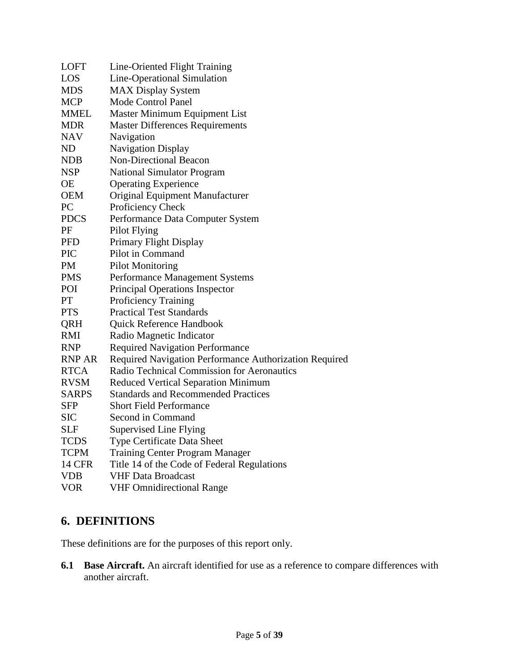| <b>LOFT</b>   | Line-Oriented Flight Training                          |
|---------------|--------------------------------------------------------|
| LOS           | Line-Operational Simulation                            |
| <b>MDS</b>    | <b>MAX Display System</b>                              |
| <b>MCP</b>    | Mode Control Panel                                     |
| <b>MMEL</b>   | Master Minimum Equipment List                          |
| <b>MDR</b>    | <b>Master Differences Requirements</b>                 |
| <b>NAV</b>    | Navigation                                             |
| ND            | Navigation Display                                     |
| <b>NDB</b>    | Non-Directional Beacon                                 |
| <b>NSP</b>    | <b>National Simulator Program</b>                      |
| <b>OE</b>     | <b>Operating Experience</b>                            |
| <b>OEM</b>    | Original Equipment Manufacturer                        |
| PC            | Proficiency Check                                      |
| <b>PDCS</b>   | Performance Data Computer System                       |
| PF            | Pilot Flying                                           |
| <b>PFD</b>    | Primary Flight Display                                 |
| <b>PIC</b>    | Pilot in Command                                       |
| <b>PM</b>     | <b>Pilot Monitoring</b>                                |
| <b>PMS</b>    | Performance Management Systems                         |
| POI           | <b>Principal Operations Inspector</b>                  |
| PT            | <b>Proficiency Training</b>                            |
| <b>PTS</b>    | <b>Practical Test Standards</b>                        |
| QRH           | Quick Reference Handbook                               |
| <b>RMI</b>    | Radio Magnetic Indicator                               |
| <b>RNP</b>    | <b>Required Navigation Performance</b>                 |
| RNP AR        | Required Navigation Performance Authorization Required |
| <b>RTCA</b>   | Radio Technical Commission for Aeronautics             |
| <b>RVSM</b>   | Reduced Vertical Separation Minimum                    |
| <b>SARPS</b>  | <b>Standards and Recommended Practices</b>             |
| SFP           | <b>Short Field Performance</b>                         |
| <b>SIC</b>    | Second in Command                                      |
| <b>SLF</b>    | <b>Supervised Line Flying</b>                          |
| <b>TCDS</b>   | Type Certificate Data Sheet                            |
| <b>TCPM</b>   | <b>Training Center Program Manager</b>                 |
| <b>14 CFR</b> | Title 14 of the Code of Federal Regulations            |
| <b>VDB</b>    | <b>VHF Data Broadcast</b>                              |
| <b>VOR</b>    | <b>VHF Omnidirectional Range</b>                       |

# <span id="page-4-0"></span>**6. DEFINITIONS**

These definitions are for the purposes of this report only.

**6.1 Base Aircraft.** An aircraft identified for use as a reference to compare differences with another aircraft.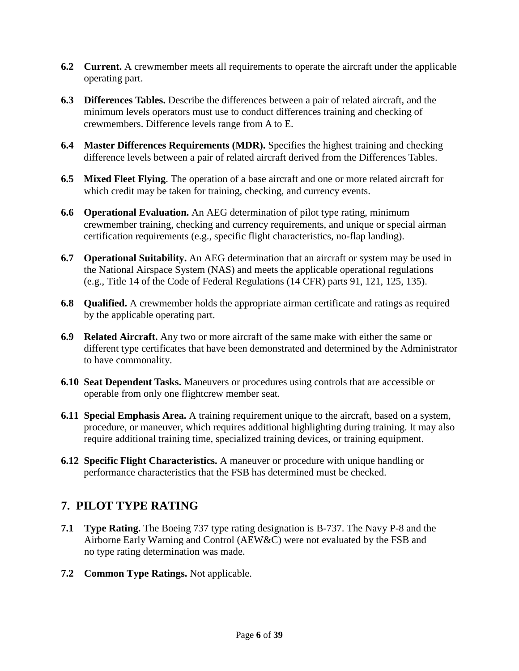- **6.2 Current.** A crewmember meets all requirements to operate the aircraft under the applicable operating part.
- **6.3 Differences Tables.** Describe the differences between a pair of related aircraft, and the minimum levels operators must use to conduct differences training and checking of crewmembers. Difference levels range from A to E.
- **6.4 Master Differences Requirements (MDR).** Specifies the highest training and checking difference levels between a pair of related aircraft derived from the Differences Tables.
- **6.5 Mixed Fleet Flying**. The operation of a base aircraft and one or more related aircraft for which credit may be taken for training, checking, and currency events.
- **6.6 Operational Evaluation.** An AEG determination of pilot type rating, minimum crewmember training, checking and currency requirements, and unique or special airman certification requirements (e.g., specific flight characteristics, no-flap landing).
- **6.7 Operational Suitability.** An AEG determination that an aircraft or system may be used in the National Airspace System (NAS) and meets the applicable operational regulations (e.g., Title 14 of the Code of Federal Regulations (14 CFR) parts 91, 121, 125, 135).
- **6.8 Qualified.** A crewmember holds the appropriate airman certificate and ratings as required by the applicable operating part.
- **6.9 Related Aircraft.** Any two or more aircraft of the same make with either the same or different type certificates that have been demonstrated and determined by the Administrator to have commonality.
- **6.10 Seat Dependent Tasks.** Maneuvers or procedures using controls that are accessible or operable from only one flightcrew member seat.
- **6.11 Special Emphasis Area.** A training requirement unique to the aircraft, based on a system, procedure, or maneuver, which requires additional highlighting during training. It may also require additional training time, specialized training devices, or training equipment.
- **6.12 Specific Flight Characteristics.** A maneuver or procedure with unique handling or performance characteristics that the FSB has determined must be checked.

# <span id="page-5-0"></span>**7. PILOT TYPE RATING**

- **7.1 Type Rating.** The Boeing 737 type rating designation is B-737. The Navy P-8 and the Airborne Early Warning and Control (AEW&C) were not evaluated by the FSB and no type rating determination was made.
- **7.2 Common Type Ratings.** Not applicable.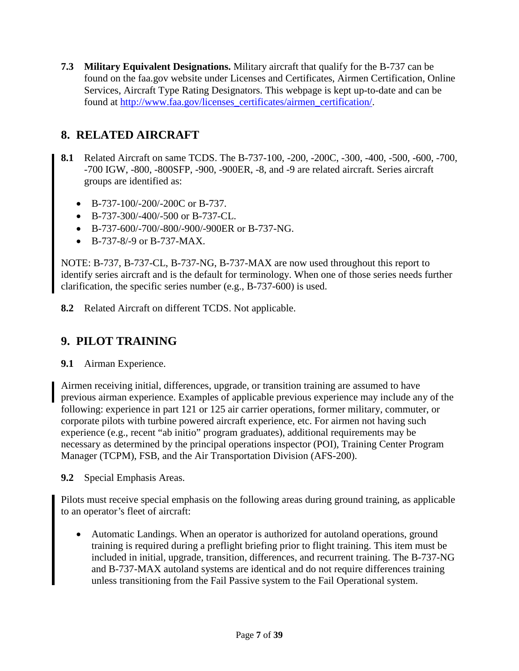**7.3 Military Equivalent Designations.** Military aircraft that qualify for the B-737 can be found on the faa.gov website under Licenses and Certificates, Airmen Certification, Online Services, Aircraft Type Rating Designators. This webpage is kept up-to-date and can be found at [http://www.faa.gov/licenses\\_certificates/airmen\\_certification/.](http://www.faa.gov/licenses_certificates/airmen_certification/)

## <span id="page-6-0"></span>**8. RELATED AIRCRAFT**

- **8.1** Related Aircraft on same TCDS. The B-737-100, -200, -200C, -300, -400, -500, -600, -700, -700 IGW, -800, -800SFP, -900, -900ER, -8, and -9 are related aircraft. Series aircraft groups are identified as:
	- B-737-100/-200/-200C or B-737.
	- B-737-300/-400/-500 or B-737-CL.
	- B-737-600/-700/-800/-900/-900ER or B-737-NG.
	- B-737-8/-9 or B-737-MAX.

NOTE: B-737, B-737-CL, B-737-NG, B-737-MAX are now used throughout this report to identify series aircraft and is the default for terminology. When one of those series needs further clarification, the specific series number (e.g., B-737-600) is used.

**8.2** Related Aircraft on different TCDS. Not applicable.

# <span id="page-6-1"></span>**9. PILOT TRAINING**

**9.1** Airman Experience.

Airmen receiving initial, differences, upgrade, or transition training are assumed to have previous airman experience. Examples of applicable previous experience may include any of the following: experience in part 121 or 125 air carrier operations, former military, commuter, or corporate pilots with turbine powered aircraft experience, etc. For airmen not having such experience (e.g., recent "ab initio" program graduates), additional requirements may be necessary as determined by the principal operations inspector (POI), Training Center Program Manager (TCPM), FSB, and the Air Transportation Division (AFS-200).

**9.2** Special Emphasis Areas.

Pilots must receive special emphasis on the following areas during ground training, as applicable to an operator's fleet of aircraft:

• Automatic Landings. When an operator is authorized for autoland operations, ground training is required during a preflight briefing prior to flight training. This item must be included in initial, upgrade, transition, differences, and recurrent training. The B-737-NG and B-737-MAX autoland systems are identical and do not require differences training unless transitioning from the Fail Passive system to the Fail Operational system.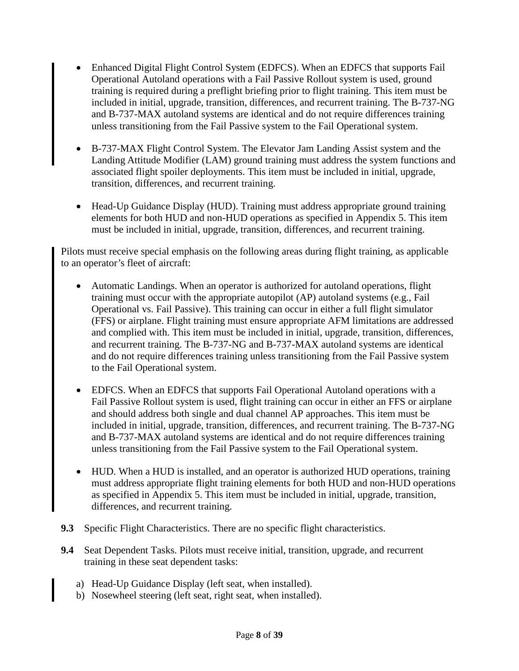- Enhanced Digital Flight Control System (EDFCS). When an EDFCS that supports Fail Operational Autoland operations with a Fail Passive Rollout system is used, ground training is required during a preflight briefing prior to flight training. This item must be included in initial, upgrade, transition, differences, and recurrent training. The B-737-NG and B-737-MAX autoland systems are identical and do not require differences training unless transitioning from the Fail Passive system to the Fail Operational system.
- B-737-MAX Flight Control System. The Elevator Jam Landing Assist system and the Landing Attitude Modifier (LAM) ground training must address the system functions and associated flight spoiler deployments. This item must be included in initial, upgrade, transition, differences, and recurrent training.
- Head-Up Guidance Display (HUD). Training must address appropriate ground training elements for both HUD and non-HUD operations as specified in Appendix 5. This item must be included in initial, upgrade, transition, differences, and recurrent training.

Pilots must receive special emphasis on the following areas during flight training, as applicable to an operator's fleet of aircraft:

- Automatic Landings. When an operator is authorized for autoland operations, flight training must occur with the appropriate autopilot (AP) autoland systems (e.g., Fail Operational vs. Fail Passive). This training can occur in either a full flight simulator (FFS) or airplane. Flight training must ensure appropriate AFM limitations are addressed and complied with. This item must be included in initial, upgrade, transition, differences, and recurrent training. The B-737-NG and B-737-MAX autoland systems are identical and do not require differences training unless transitioning from the Fail Passive system to the Fail Operational system.
- EDFCS. When an EDFCS that supports Fail Operational Autoland operations with a Fail Passive Rollout system is used, flight training can occur in either an FFS or airplane and should address both single and dual channel AP approaches. This item must be included in initial, upgrade, transition, differences, and recurrent training. The B-737-NG and B-737-MAX autoland systems are identical and do not require differences training unless transitioning from the Fail Passive system to the Fail Operational system.
- HUD. When a HUD is installed, and an operator is authorized HUD operations, training must address appropriate flight training elements for both HUD and non-HUD operations as specified in Appendix 5. This item must be included in initial, upgrade, transition, differences, and recurrent training.
- **9.3** Specific Flight Characteristics. There are no specific flight characteristics.
- **9.4** Seat Dependent Tasks. Pilots must receive initial, transition, upgrade, and recurrent training in these seat dependent tasks:
	- a) Head-Up Guidance Display (left seat, when installed).
	- b) Nosewheel steering (left seat, right seat, when installed).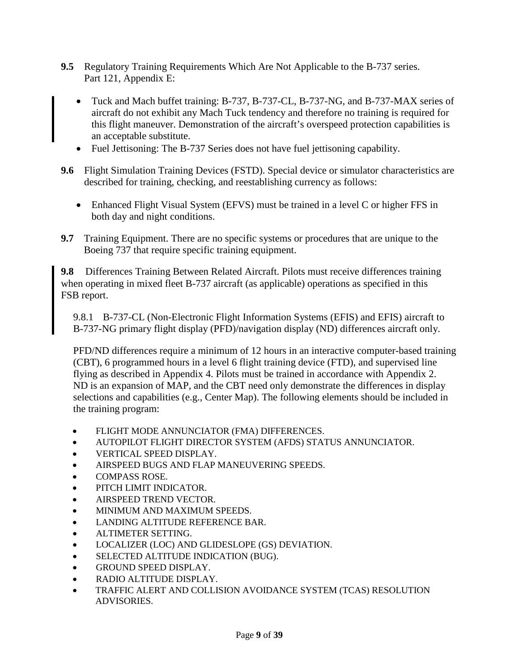- **9.5** Regulatory Training Requirements Which Are Not Applicable to the B-737 series. Part 121, Appendix E:
	- Tuck and Mach buffet training: B-737, B-737-CL, B-737-NG, and B-737-MAX series of aircraft do not exhibit any Mach Tuck tendency and therefore no training is required for this flight maneuver. Demonstration of the aircraft's overspeed protection capabilities is an acceptable substitute.
	- Fuel Jettisoning: The B-737 Series does not have fuel jettisoning capability.
- **9.6** Flight Simulation Training Devices (FSTD). Special device or simulator characteristics are described for training, checking, and reestablishing currency as follows:
	- Enhanced Flight Visual System (EFVS) must be trained in a level C or higher FFS in both day and night conditions.
- **9.7** Training Equipment. There are no specific systems or procedures that are unique to the Boeing 737 that require specific training equipment.

**9.8** Differences Training Between Related Aircraft. Pilots must receive differences training when operating in mixed fleet B-737 aircraft (as applicable) operations as specified in this FSB report.

9.8.1 B-737-CL (Non-Electronic Flight Information Systems (EFIS) and EFIS) aircraft to B-737-NG primary flight display (PFD)/navigation display (ND) differences aircraft only.

PFD/ND differences require a minimum of 12 hours in an interactive computer-based training (CBT), 6 programmed hours in a level 6 flight training device (FTD), and supervised line flying as described in Appendix 4. Pilots must be trained in accordance with Appendix 2. ND is an expansion of MAP, and the CBT need only demonstrate the differences in display selections and capabilities (e.g., Center Map). The following elements should be included in the training program:

- FLIGHT MODE ANNUNCIATOR (FMA) DIFFERENCES.
- AUTOPILOT FLIGHT DIRECTOR SYSTEM (AFDS) STATUS ANNUNCIATOR.
- VERTICAL SPEED DISPLAY.
- AIRSPEED BUGS AND FLAP MANEUVERING SPEEDS.
- COMPASS ROSE.
- PITCH LIMIT INDICATOR.
- AIRSPEED TREND VECTOR.
- MINIMUM AND MAXIMUM SPEEDS.
- LANDING ALTITUDE REFERENCE BAR.
- ALTIMETER SETTING.
- LOCALIZER (LOC) AND GLIDESLOPE (GS) DEVIATION.
- SELECTED ALTITUDE INDICATION (BUG).
- GROUND SPEED DISPLAY.
- RADIO ALTITUDE DISPLAY.
- TRAFFIC ALERT AND COLLISION AVOIDANCE SYSTEM (TCAS) RESOLUTION ADVISORIES.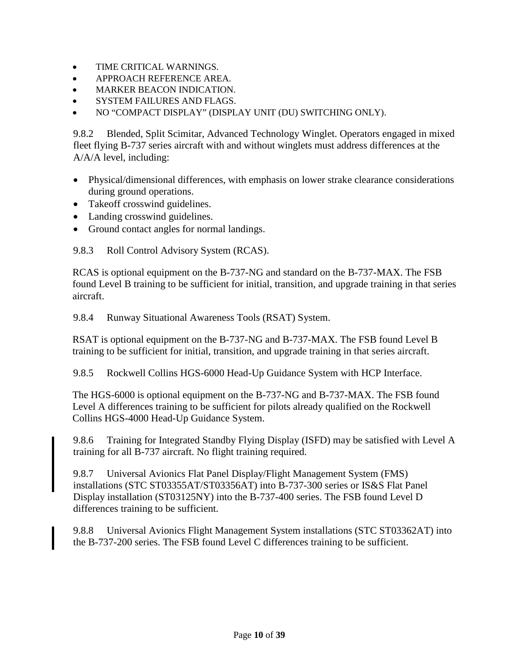- TIME CRITICAL WARNINGS.
- APPROACH REFERENCE AREA.
- MARKER BEACON INDICATION.
- SYSTEM FAILURES AND FLAGS.
- NO "COMPACT DISPLAY" (DISPLAY UNIT (DU) SWITCHING ONLY).

9.8.2 Blended, Split Scimitar, Advanced Technology Winglet. Operators engaged in mixed fleet flying B-737 series aircraft with and without winglets must address differences at the A/A/A level, including:

- Physical/dimensional differences, with emphasis on lower strake clearance considerations during ground operations.
- Takeoff crosswind guidelines.
- Landing crosswind guidelines.
- Ground contact angles for normal landings.

9.8.3 Roll Control Advisory System (RCAS).

RCAS is optional equipment on the B-737-NG and standard on the B-737-MAX. The FSB found Level B training to be sufficient for initial, transition, and upgrade training in that series aircraft.

9.8.4 Runway Situational Awareness Tools (RSAT) System.

RSAT is optional equipment on the B-737-NG and B-737-MAX. The FSB found Level B training to be sufficient for initial, transition, and upgrade training in that series aircraft.

9.8.5 Rockwell Collins HGS-6000 Head-Up Guidance System with HCP Interface.

The HGS-6000 is optional equipment on the B-737-NG and B-737-MAX. The FSB found Level A differences training to be sufficient for pilots already qualified on the Rockwell Collins HGS-4000 Head-Up Guidance System.

9.8.6 Training for Integrated Standby Flying Display (ISFD) may be satisfied with Level A training for all B-737 aircraft. No flight training required.

9.8.7 Universal Avionics Flat Panel Display/Flight Management System (FMS) installations (STC ST03355AT/ST03356AT) into B-737-300 series or IS&S Flat Panel Display installation (ST03125NY) into the B-737-400 series. The FSB found Level D differences training to be sufficient.

9.8.8 Universal Avionics Flight Management System installations (STC ST03362AT) into the B-737-200 series. The FSB found Level C differences training to be sufficient.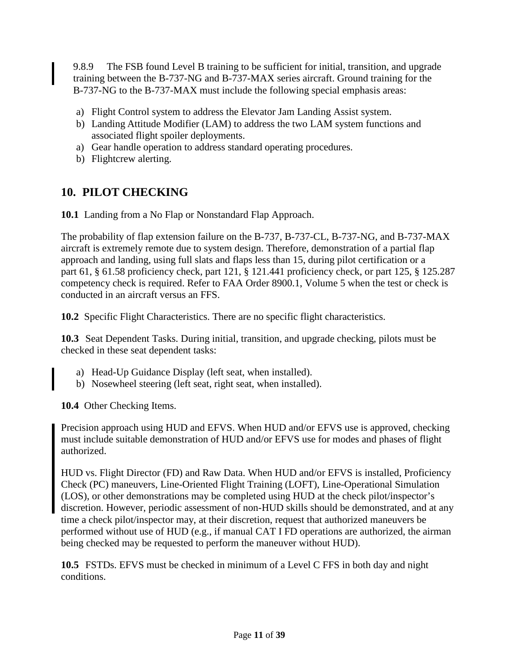9.8.9 The FSB found Level B training to be sufficient for initial, transition, and upgrade training between the B-737-NG and B-737-MAX series aircraft. Ground training for the B-737-NG to the B-737-MAX must include the following special emphasis areas:

- a) Flight Control system to address the Elevator Jam Landing Assist system.
- b) Landing Attitude Modifier (LAM) to address the two LAM system functions and associated flight spoiler deployments.
- a) Gear handle operation to address standard operating procedures.
- b) Flightcrew alerting.

### <span id="page-10-0"></span>**10. PILOT CHECKING**

**10.1** Landing from a No Flap or Nonstandard Flap Approach.

The probability of flap extension failure on the B-737, B-737-CL, B-737-NG, and B-737-MAX aircraft is extremely remote due to system design. Therefore, demonstration of a partial flap approach and landing, using full slats and flaps less than 15, during pilot certification or a part 61, § 61.58 proficiency check, part 121, § 121.441 proficiency check, or part 125, § 125.287 competency check is required. Refer to FAA Order 8900.1, Volume 5 when the test or check is conducted in an aircraft versus an FFS.

**10.2** Specific Flight Characteristics. There are no specific flight characteristics.

**10.3** Seat Dependent Tasks. During initial, transition, and upgrade checking, pilots must be checked in these seat dependent tasks:

- a) Head-Up Guidance Display (left seat, when installed).
- b) Nosewheel steering (left seat, right seat, when installed).

**10.4** Other Checking Items.

Precision approach using HUD and EFVS. When HUD and/or EFVS use is approved, checking must include suitable demonstration of HUD and/or EFVS use for modes and phases of flight authorized.

HUD vs. Flight Director (FD) and Raw Data. When HUD and/or EFVS is installed, Proficiency Check (PC) maneuvers, Line-Oriented Flight Training (LOFT), Line-Operational Simulation (LOS), or other demonstrations may be completed using HUD at the check pilot/inspector's discretion. However, periodic assessment of non-HUD skills should be demonstrated, and at any time a check pilot/inspector may, at their discretion, request that authorized maneuvers be performed without use of HUD (e.g., if manual CAT I FD operations are authorized, the airman being checked may be requested to perform the maneuver without HUD).

**10.5** FSTDs. EFVS must be checked in minimum of a Level C FFS in both day and night conditions.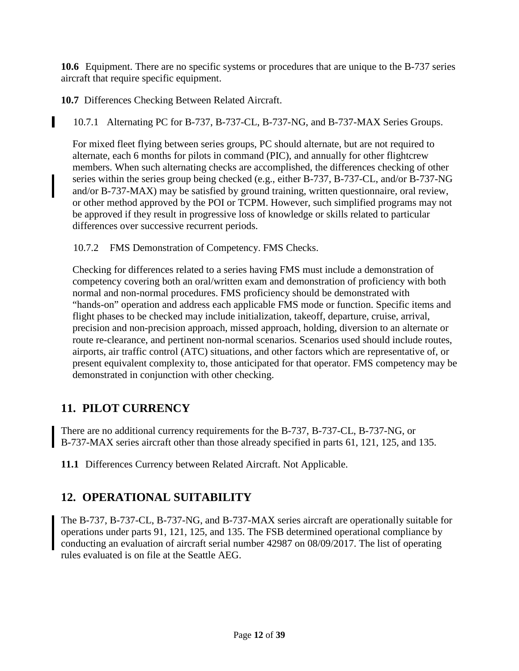**10.6** Equipment. There are no specific systems or procedures that are unique to the B-737 series aircraft that require specific equipment.

**10.7** Differences Checking Between Related Aircraft.

I

10.7.1 Alternating PC for B-737, B-737-CL, B-737-NG, and B-737-MAX Series Groups.

For mixed fleet flying between series groups, PC should alternate, but are not required to alternate, each 6 months for pilots in command (PIC), and annually for other flightcrew members. When such alternating checks are accomplished, the differences checking of other series within the series group being checked (e.g., either B-737, B-737-CL, and/or B-737-NG and/or B-737-MAX) may be satisfied by ground training, written questionnaire, oral review, or other method approved by the POI or TCPM. However, such simplified programs may not be approved if they result in progressive loss of knowledge or skills related to particular differences over successive recurrent periods.

10.7.2 FMS Demonstration of Competency. FMS Checks.

Checking for differences related to a series having FMS must include a demonstration of competency covering both an oral/written exam and demonstration of proficiency with both normal and non-normal procedures. FMS proficiency should be demonstrated with "hands-on" operation and address each applicable FMS mode or function. Specific items and flight phases to be checked may include initialization, takeoff, departure, cruise, arrival, precision and non-precision approach, missed approach, holding, diversion to an alternate or route re-clearance, and pertinent non-normal scenarios. Scenarios used should include routes, airports, air traffic control (ATC) situations, and other factors which are representative of, or present equivalent complexity to, those anticipated for that operator. FMS competency may be demonstrated in conjunction with other checking.

# <span id="page-11-0"></span>**11. PILOT CURRENCY**

There are no additional currency requirements for the B-737, B-737-CL, B-737-NG, or B-737-MAX series aircraft other than those already specified in parts 61, 121, 125, and 135.

**11.1** Differences Currency between Related Aircraft. Not Applicable.

# <span id="page-11-1"></span>**12. OPERATIONAL SUITABILITY**

The B-737, B-737-CL, B-737-NG, and B-737-MAX series aircraft are operationally suitable for operations under parts 91, 121, 125, and 135. The FSB determined operational compliance by conducting an evaluation of aircraft serial number 42987 on 08/09/2017. The list of operating rules evaluated is on file at the Seattle AEG.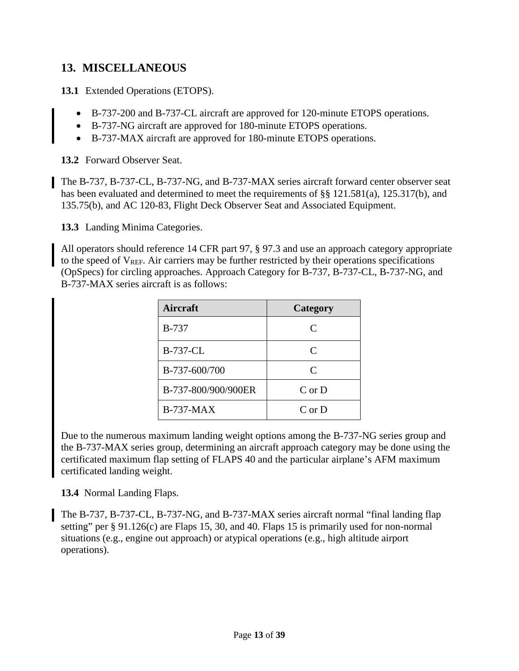#### <span id="page-12-0"></span>**13. MISCELLANEOUS**

**13.1** Extended Operations (ETOPS).

- B-737-200 and B-737-CL aircraft are approved for 120-minute ETOPS operations.
- B-737-NG aircraft are approved for 180-minute ETOPS operations.
- B-737-MAX aircraft are approved for 180-minute ETOPS operations.

**13.2** Forward Observer Seat.

The B-737, B-737-CL, B-737-NG, and B-737-MAX series aircraft forward center observer seat has been evaluated and determined to meet the requirements of §§ 121.581(a), 125.317(b), and 135.75(b), and AC 120-83, Flight Deck Observer Seat and Associated Equipment.

**13.3** Landing Minima Categories.

All operators should reference 14 CFR part 97, § 97.3 and use an approach category appropriate to the speed of  $V<sub>REF</sub>$ . Air carriers may be further restricted by their operations specifications (OpSpecs) for circling approaches. Approach Category for B-737, B-737-CL, B-737-NG, and B-737-MAX series aircraft is as follows:

| Aircraft            | Category     |
|---------------------|--------------|
| <b>B-737</b>        | C            |
| <b>B-737-CL</b>     | $\mathsf{C}$ |
| B-737-600/700       | $\mathsf{C}$ |
| B-737-800/900/900ER | $C$ or $D$   |
| $B-737-MAX$         | $C$ or $D$   |

Due to the numerous maximum landing weight options among the B-737-NG series group and the B-737-MAX series group, determining an aircraft approach category may be done using the certificated maximum flap setting of FLAPS 40 and the particular airplane's AFM maximum certificated landing weight.

**13.4** Normal Landing Flaps.

The B-737, B-737-CL, B-737-NG, and B-737-MAX series aircraft normal "final landing flap setting" per § 91.126(c) are Flaps 15, 30, and 40. Flaps 15 is primarily used for non-normal situations (e.g., engine out approach) or atypical operations (e.g., high altitude airport operations).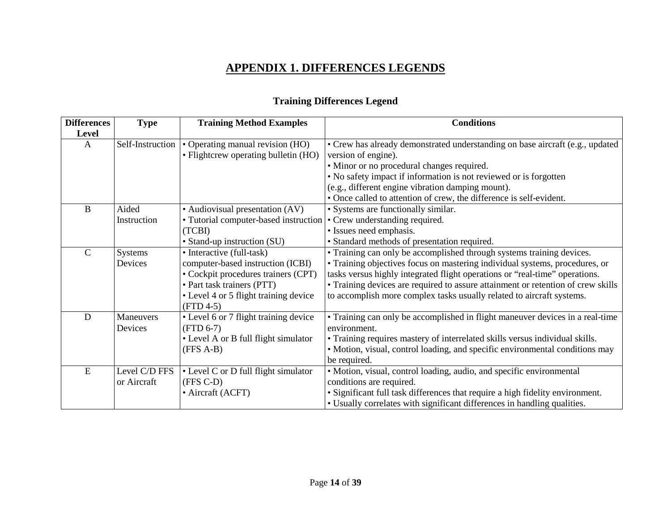# **APPENDIX 1. DIFFERENCES LEGENDS**

# **Training Differences Legend**

<span id="page-13-0"></span>

| <b>Differences</b> | <b>Type</b>      | <b>Training Method Examples</b>                                      | <b>Conditions</b>                                                                |  |  |  |  |
|--------------------|------------------|----------------------------------------------------------------------|----------------------------------------------------------------------------------|--|--|--|--|
| Level              |                  |                                                                      |                                                                                  |  |  |  |  |
| A                  | Self-Instruction | • Operating manual revision (HO)                                     | • Crew has already demonstrated understanding on base aircraft (e.g., updated    |  |  |  |  |
|                    |                  | • Flightcrew operating bulletin (HO)                                 | version of engine).                                                              |  |  |  |  |
|                    |                  |                                                                      | • Minor or no procedural changes required.                                       |  |  |  |  |
|                    |                  |                                                                      | • No safety impact if information is not reviewed or is forgotten                |  |  |  |  |
|                    |                  |                                                                      | (e.g., different engine vibration damping mount).                                |  |  |  |  |
|                    |                  |                                                                      | • Once called to attention of crew, the difference is self-evident.              |  |  |  |  |
| B                  | Aided            | • Audiovisual presentation (AV)                                      | • Systems are functionally similar.                                              |  |  |  |  |
|                    | Instruction      | • Tutorial computer-based instruction • Crew understanding required. |                                                                                  |  |  |  |  |
|                    |                  | (TCBI)                                                               | • Issues need emphasis.                                                          |  |  |  |  |
|                    |                  | • Stand-up instruction (SU)                                          | • Standard methods of presentation required.                                     |  |  |  |  |
| $\mathcal{C}$      | <b>Systems</b>   | • Interactive (full-task)                                            | • Training can only be accomplished through systems training devices.            |  |  |  |  |
|                    | Devices          | computer-based instruction (ICBI)                                    | • Training objectives focus on mastering individual systems, procedures, or      |  |  |  |  |
|                    |                  | • Cockpit procedures trainers (CPT)                                  | tasks versus highly integrated flight operations or "real-time" operations.      |  |  |  |  |
|                    |                  | • Part task trainers (PTT)                                           | • Training devices are required to assure attainment or retention of crew skills |  |  |  |  |
|                    |                  | • Level 4 or 5 flight training device                                | to accomplish more complex tasks usually related to aircraft systems.            |  |  |  |  |
|                    |                  | $(FTD 4-5)$                                                          |                                                                                  |  |  |  |  |
| D                  | Maneuvers        | • Level 6 or 7 flight training device                                | • Training can only be accomplished in flight maneuver devices in a real-time    |  |  |  |  |
|                    | Devices          | $(FTD 6-7)$                                                          | environment.                                                                     |  |  |  |  |
|                    |                  | • Level A or B full flight simulator                                 | • Training requires mastery of interrelated skills versus individual skills.     |  |  |  |  |
|                    |                  | $(FFS A-B)$                                                          | • Motion, visual, control loading, and specific environmental conditions may     |  |  |  |  |
|                    |                  |                                                                      | be required.                                                                     |  |  |  |  |
| E                  | Level C/D FFS    | • Level C or D full flight simulator                                 | • Motion, visual, control loading, audio, and specific environmental             |  |  |  |  |
|                    | or Aircraft      | (FFS C-D)                                                            | conditions are required.                                                         |  |  |  |  |
|                    |                  | • Aircraft (ACFT)                                                    | • Significant full task differences that require a high fidelity environment.    |  |  |  |  |
|                    |                  |                                                                      | • Usually correlates with significant differences in handling qualities.         |  |  |  |  |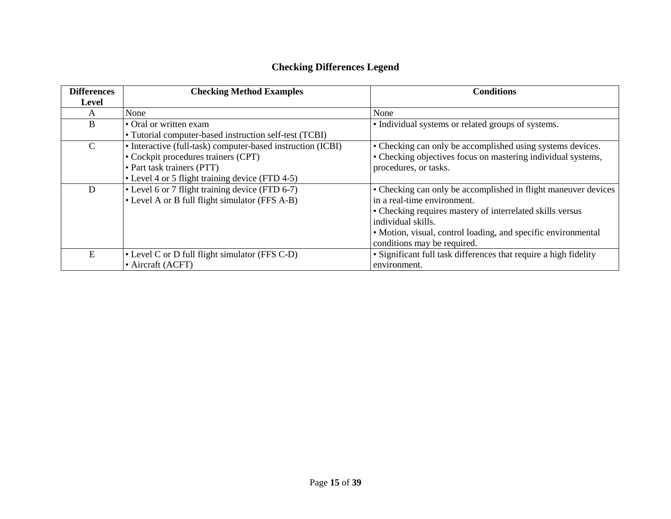# **Checking Differences Legend**

| <b>Differences</b> | <b>Checking Method Examples</b>                             | <b>Conditions</b>                                                |
|--------------------|-------------------------------------------------------------|------------------------------------------------------------------|
| <b>Level</b>       |                                                             |                                                                  |
| A                  | None                                                        | None                                                             |
| B                  | • Oral or written exam                                      | • Individual systems or related groups of systems.               |
|                    | • Tutorial computer-based instruction self-test (TCBI)      |                                                                  |
| $\mathcal{C}$      | • Interactive (full-task) computer-based instruction (ICBI) | • Checking can only be accomplished using systems devices.       |
|                    | • Cockpit procedures trainers (CPT)                         | • Checking objectives focus on mastering individual systems,     |
|                    | • Part task trainers (PTT)                                  | procedures, or tasks.                                            |
|                    | • Level 4 or 5 flight training device (FTD 4-5)             |                                                                  |
| D                  | • Level 6 or 7 flight training device (FTD 6-7)             | • Checking can only be accomplished in flight maneuver devices   |
|                    | • Level A or B full flight simulator (FFS A-B)              | in a real-time environment.                                      |
|                    |                                                             | • Checking requires mastery of interrelated skills versus        |
|                    |                                                             | individual skills.                                               |
|                    |                                                             | • Motion, visual, control loading, and specific environmental    |
|                    |                                                             | conditions may be required.                                      |
| E                  | • Level C or D full flight simulator (FFS C-D)              | • Significant full task differences that require a high fidelity |
|                    | • Aircraft (ACFT)                                           | environment.                                                     |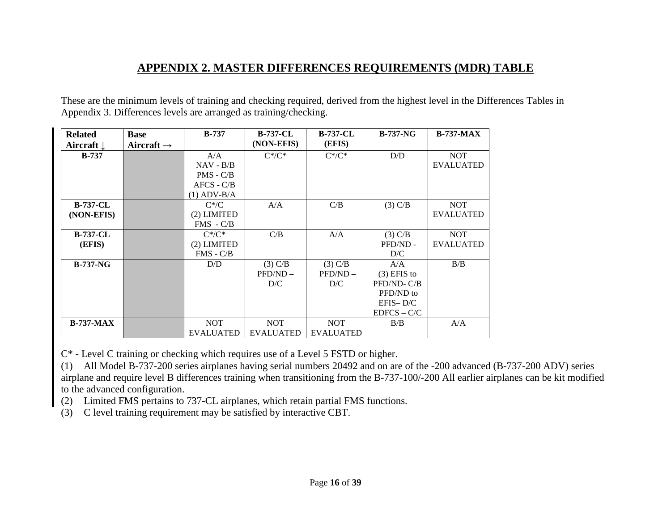#### **APPENDIX 2. MASTER DIFFERENCES REQUIREMENTS (MDR) TABLE**

These are the minimum levels of training and checking required, derived from the highest level in the Differences Tables in Appendix 3. Differences levels are arranged as training/checking.

<span id="page-15-0"></span>

| <b>Related</b>        | <b>Base</b>            | $B-737$          | <b>B-737-CL</b>  | <b>B-737-CL</b>  | $B-737-NG$    | $B-737-MAX$      |
|-----------------------|------------------------|------------------|------------------|------------------|---------------|------------------|
| Aircraft $\downarrow$ | Aircraft $\rightarrow$ |                  | (NON-EFIS)       | (EFIS)           |               |                  |
| $B-737$               |                        | A/A              | $C^*/C^*$        | $C^*/C^*$        | D/D           | <b>NOT</b>       |
|                       |                        | $NAV - B/B$      |                  |                  |               | <b>EVALUATED</b> |
|                       |                        | $PMS - C/B$      |                  |                  |               |                  |
|                       |                        | $AFCS - C/B$     |                  |                  |               |                  |
|                       |                        | $(1)$ ADV-B/A    |                  |                  |               |                  |
| <b>B-737-CL</b>       |                        | $C^*/C$          | A/A              | C/B              | $(3)$ C/B     | <b>NOT</b>       |
| (NON-EFIS)            |                        | (2) LIMITED      |                  |                  |               | <b>EVALUATED</b> |
|                       |                        | $FMS - C/B$      |                  |                  |               |                  |
| <b>B-737-CL</b>       |                        | $C^*/C^*$        | C/B              | A/A              | $(3)$ C/B     | <b>NOT</b>       |
| (EFIS)                |                        | (2) LIMITED      |                  |                  | PFD/ND -      | <b>EVALUATED</b> |
|                       |                        | $FMS - C/B$      |                  |                  | D/C           |                  |
| $B-737-NG$            |                        | D/D              | $(3)$ C/B        | $(3)$ C/B        | A/A           | B/B              |
|                       |                        |                  | $PFD/ND -$       | $PFD/ND -$       | $(3)$ EFIS to |                  |
|                       |                        |                  | D/C              | D/C              | PFD/ND-C/B    |                  |
|                       |                        |                  |                  |                  | PFD/ND to     |                  |
|                       |                        |                  |                  |                  | $EFIS-D/C$    |                  |
|                       |                        |                  |                  |                  | $EDFCS - C/C$ |                  |
| $B-737-MAX$           |                        | <b>NOT</b>       | <b>NOT</b>       | <b>NOT</b>       | B/B           | A/A              |
|                       |                        | <b>EVALUATED</b> | <b>EVALUATED</b> | <b>EVALUATED</b> |               |                  |

C\* - Level C training or checking which requires use of a Level 5 FSTD or higher.

(1) All Model B-737-200 series airplanes having serial numbers 20492 and on are of the -200 advanced (B-737-200 ADV) series airplane and require level B differences training when transitioning from the B-737-100/-200 All earlier airplanes can be kit modified to the advanced configuration.

(2) Limited FMS pertains to 737-CL airplanes, which retain partial FMS functions.

(3) C level training requirement may be satisfied by interactive CBT.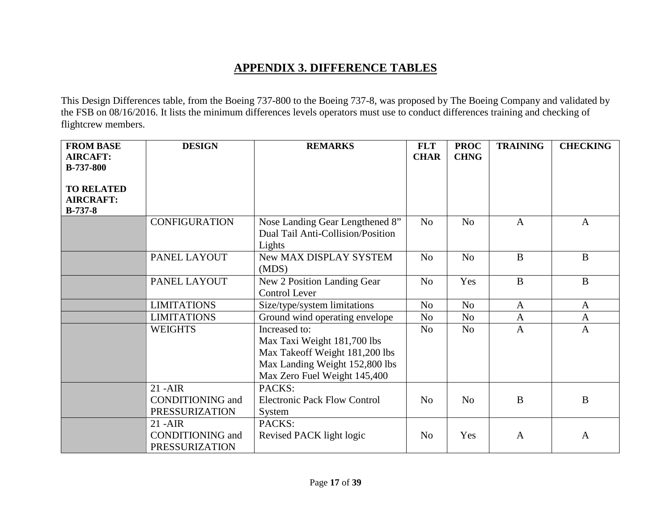# **APPENDIX 3. DIFFERENCE TABLES**

This Design Differences table, from the Boeing 737-800 to the Boeing 737-8, was proposed by The Boeing Company and validated by the FSB on 08/16/2016. It lists the minimum differences levels operators must use to conduct differences training and checking of flightcrew members.

<span id="page-16-0"></span>

| <b>FROM BASE</b>              | <b>DESIGN</b>           | <b>REMARKS</b>                      | <b>FLT</b>     | <b>PROC</b>    | <b>TRAINING</b> | <b>CHECKING</b> |
|-------------------------------|-------------------------|-------------------------------------|----------------|----------------|-----------------|-----------------|
| <b>AIRCAFT:</b>               |                         |                                     | <b>CHAR</b>    | <b>CHNG</b>    |                 |                 |
| <b>B-737-800</b>              |                         |                                     |                |                |                 |                 |
|                               |                         |                                     |                |                |                 |                 |
| <b>TO RELATED</b>             |                         |                                     |                |                |                 |                 |
| <b>AIRCRAFT:</b><br>$B-737-8$ |                         |                                     |                |                |                 |                 |
|                               | <b>CONFIGURATION</b>    | Nose Landing Gear Lengthened 8"     | N <sub>o</sub> | N <sub>0</sub> | $\mathbf{A}$    | $\overline{A}$  |
|                               |                         | Dual Tail Anti-Collision/Position   |                |                |                 |                 |
|                               |                         | Lights                              |                |                |                 |                 |
|                               | PANEL LAYOUT            | New MAX DISPLAY SYSTEM              | N <sub>o</sub> | N <sub>o</sub> | $\mathbf{B}$    | $\mathbf{B}$    |
|                               |                         | (MDS)                               |                |                |                 |                 |
|                               | PANEL LAYOUT            | New 2 Position Landing Gear         | N <sub>o</sub> | Yes            | $\mathbf{B}$    | $\mathbf{B}$    |
|                               |                         | Control Lever                       |                |                |                 |                 |
|                               | <b>LIMITATIONS</b>      | Size/type/system limitations        | N <sub>o</sub> | N <sub>o</sub> | $\mathbf{A}$    | A               |
|                               | <b>LIMITATIONS</b>      | Ground wind operating envelope      | N <sub>o</sub> | N <sub>o</sub> | $\overline{A}$  | $\mathbf{A}$    |
|                               | <b>WEIGHTS</b>          | Increased to:                       | N <sub>o</sub> | N <sub>0</sub> | $\mathbf{A}$    | $\mathbf{A}$    |
|                               |                         | Max Taxi Weight 181,700 lbs         |                |                |                 |                 |
|                               |                         | Max Takeoff Weight 181,200 lbs      |                |                |                 |                 |
|                               |                         | Max Landing Weight 152,800 lbs      |                |                |                 |                 |
|                               |                         | Max Zero Fuel Weight 145,400        |                |                |                 |                 |
|                               | $21 - AIR$              | PACKS:                              |                |                |                 |                 |
|                               | <b>CONDITIONING</b> and | <b>Electronic Pack Flow Control</b> | N <sub>0</sub> | N <sub>o</sub> | $\bf{B}$        | B               |
|                               | <b>PRESSURIZATION</b>   | System                              |                |                |                 |                 |
|                               | $21 - AIR$              | PACKS:                              |                |                |                 |                 |
|                               | <b>CONDITIONING</b> and | Revised PACK light logic            | N <sub>0</sub> | Yes            | $\mathbf{A}$    | $\mathbf{A}$    |
|                               | PRESSURIZATION          |                                     |                |                |                 |                 |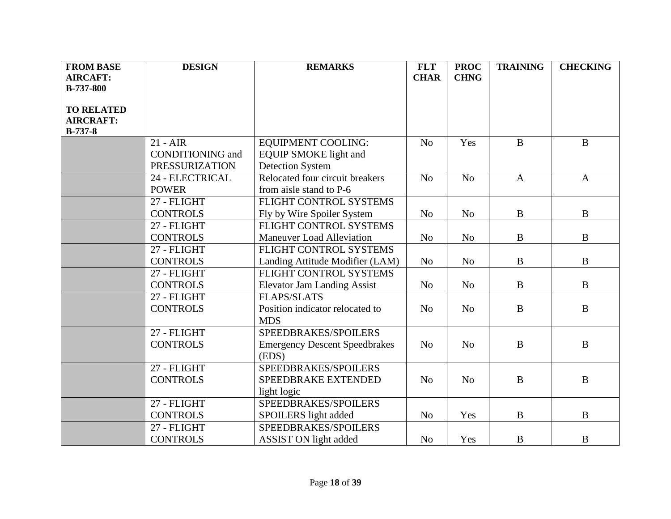| <b>FROM BASE</b>  | <b>DESIGN</b>           | <b>REMARKS</b>                       | <b>FLT</b>     | <b>PROC</b>    | <b>TRAINING</b> | <b>CHECKING</b> |
|-------------------|-------------------------|--------------------------------------|----------------|----------------|-----------------|-----------------|
| <b>AIRCAFT:</b>   |                         |                                      | <b>CHAR</b>    | <b>CHNG</b>    |                 |                 |
| <b>B-737-800</b>  |                         |                                      |                |                |                 |                 |
|                   |                         |                                      |                |                |                 |                 |
| <b>TO RELATED</b> |                         |                                      |                |                |                 |                 |
| <b>AIRCRAFT:</b>  |                         |                                      |                |                |                 |                 |
| $B-737-8$         |                         |                                      |                |                |                 |                 |
|                   | $21 - AIR$              | <b>EQUIPMENT COOLING:</b>            | N <sub>o</sub> | Yes            | $\bf{B}$        | $\bf{B}$        |
|                   | <b>CONDITIONING</b> and | <b>EQUIP SMOKE</b> light and         |                |                |                 |                 |
|                   | <b>PRESSURIZATION</b>   | <b>Detection System</b>              |                |                |                 |                 |
|                   | 24 - ELECTRICAL         | Relocated four circuit breakers      | No             | N <sub>o</sub> | $\overline{A}$  | $\mathbf{A}$    |
|                   | <b>POWER</b>            | from aisle stand to P-6              |                |                |                 |                 |
|                   | 27 - FLIGHT             | FLIGHT CONTROL SYSTEMS               |                |                |                 |                 |
|                   | <b>CONTROLS</b>         | Fly by Wire Spoiler System           | N <sub>o</sub> | N <sub>o</sub> | $\mathbf{B}$    | $\bf{B}$        |
|                   | 27 - FLIGHT             | FLIGHT CONTROL SYSTEMS               |                |                |                 |                 |
|                   | <b>CONTROLS</b>         | <b>Maneuver Load Alleviation</b>     | N <sub>o</sub> | N <sub>o</sub> | $\mathbf{B}$    | B               |
|                   | 27 - FLIGHT             | FLIGHT CONTROL SYSTEMS               |                |                |                 |                 |
|                   | <b>CONTROLS</b>         | Landing Attitude Modifier (LAM)      | N <sub>o</sub> | N <sub>o</sub> | $\bf{B}$        | $\bf{B}$        |
|                   | 27 - FLIGHT             | FLIGHT CONTROL SYSTEMS               |                |                |                 |                 |
|                   | <b>CONTROLS</b>         | <b>Elevator Jam Landing Assist</b>   | N <sub>o</sub> | N <sub>o</sub> | $\bf{B}$        | $\bf{B}$        |
|                   | 27 - FLIGHT             | <b>FLAPS/SLATS</b>                   |                |                |                 |                 |
|                   | <b>CONTROLS</b>         | Position indicator relocated to      | N <sub>o</sub> | N <sub>o</sub> | $\bf{B}$        | $\bf{B}$        |
|                   |                         | <b>MDS</b>                           |                |                |                 |                 |
|                   | 27 - FLIGHT             | SPEEDBRAKES/SPOILERS                 |                |                |                 |                 |
|                   | <b>CONTROLS</b>         | <b>Emergency Descent Speedbrakes</b> | N <sub>0</sub> | N <sub>o</sub> | $\bf{B}$        | $\bf{B}$        |
|                   |                         | (EDS)                                |                |                |                 |                 |
|                   | 27 - FLIGHT             | SPEEDBRAKES/SPOILERS                 |                |                |                 |                 |
|                   | <b>CONTROLS</b>         | SPEEDBRAKE EXTENDED                  | N <sub>0</sub> | N <sub>o</sub> | $\bf{B}$        | $\bf{B}$        |
|                   |                         | light logic                          |                |                |                 |                 |
|                   | 27 - FLIGHT             | SPEEDBRAKES/SPOILERS                 |                |                |                 |                 |
|                   | <b>CONTROLS</b>         | SPOILERS light added                 | N <sub>o</sub> | Yes            | $\bf{B}$        | $\bf{B}$        |
|                   | 27 - FLIGHT             | SPEEDBRAKES/SPOILERS                 |                |                |                 |                 |
|                   | <b>CONTROLS</b>         | <b>ASSIST ON light added</b>         | N <sub>o</sub> | Yes            | $\bf{B}$        | $\bf{B}$        |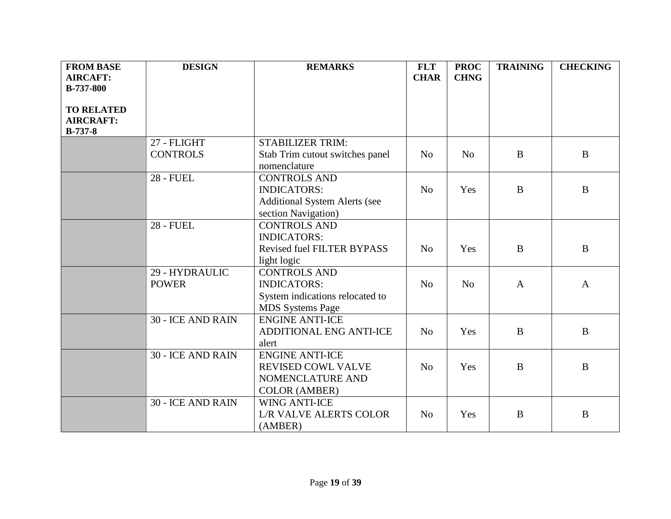| <b>FROM BASE</b>  | <b>DESIGN</b>            | <b>REMARKS</b>                       | <b>FLT</b>     | <b>PROC</b>    | <b>TRAINING</b> | <b>CHECKING</b> |
|-------------------|--------------------------|--------------------------------------|----------------|----------------|-----------------|-----------------|
| <b>AIRCAFT:</b>   |                          |                                      | <b>CHAR</b>    | <b>CHNG</b>    |                 |                 |
| <b>B-737-800</b>  |                          |                                      |                |                |                 |                 |
|                   |                          |                                      |                |                |                 |                 |
| <b>TO RELATED</b> |                          |                                      |                |                |                 |                 |
| <b>AIRCRAFT:</b>  |                          |                                      |                |                |                 |                 |
| $B-737-8$         |                          |                                      |                |                |                 |                 |
|                   | 27 - FLIGHT              | <b>STABILIZER TRIM:</b>              |                |                |                 |                 |
|                   | <b>CONTROLS</b>          | Stab Trim cutout switches panel      | N <sub>o</sub> | N <sub>o</sub> | $\bf{B}$        | $\mathbf{B}$    |
|                   |                          | nomenclature                         |                |                |                 |                 |
|                   | <b>28 - FUEL</b>         | <b>CONTROLS AND</b>                  |                |                |                 |                 |
|                   |                          | <b>INDICATORS:</b>                   | N <sub>0</sub> | Yes            | $\bf{B}$        | $\bf{B}$        |
|                   |                          | <b>Additional System Alerts (see</b> |                |                |                 |                 |
|                   |                          | section Navigation)                  |                |                |                 |                 |
|                   | <b>28 - FUEL</b>         | <b>CONTROLS AND</b>                  |                |                |                 |                 |
|                   |                          | <b>INDICATORS:</b>                   |                |                |                 |                 |
|                   |                          | <b>Revised fuel FILTER BYPASS</b>    | N <sub>o</sub> | Yes            | $\bf{B}$        | $\bf{B}$        |
|                   |                          | light logic                          |                |                |                 |                 |
|                   | 29 - HYDRAULIC           | <b>CONTROLS AND</b>                  |                |                |                 |                 |
|                   | <b>POWER</b>             | <b>INDICATORS:</b>                   | N <sub>o</sub> | N <sub>o</sub> | $\mathbf{A}$    | $\mathbf{A}$    |
|                   |                          | System indications relocated to      |                |                |                 |                 |
|                   |                          | <b>MDS</b> Systems Page              |                |                |                 |                 |
|                   | <b>30 - ICE AND RAIN</b> | <b>ENGINE ANTI-ICE</b>               |                |                |                 |                 |
|                   |                          | ADDITIONAL ENG ANTI-ICE              | N <sub>o</sub> | Yes            | $\bf{B}$        | B               |
|                   |                          | alert                                |                |                |                 |                 |
|                   | <b>30 - ICE AND RAIN</b> | <b>ENGINE ANTI-ICE</b>               |                |                |                 |                 |
|                   |                          | <b>REVISED COWL VALVE</b>            | N <sub>0</sub> | Yes            | $\mathbf{B}$    | B               |
|                   |                          | NOMENCLATURE AND                     |                |                |                 |                 |
|                   |                          | <b>COLOR (AMBER)</b>                 |                |                |                 |                 |
|                   | <b>30 - ICE AND RAIN</b> | <b>WING ANTI-ICE</b>                 |                |                |                 |                 |
|                   |                          | <b>L/R VALVE ALERTS COLOR</b>        | N <sub>0</sub> | Yes            | $\mathbf{B}$    | B               |
|                   |                          | (AMBER)                              |                |                |                 |                 |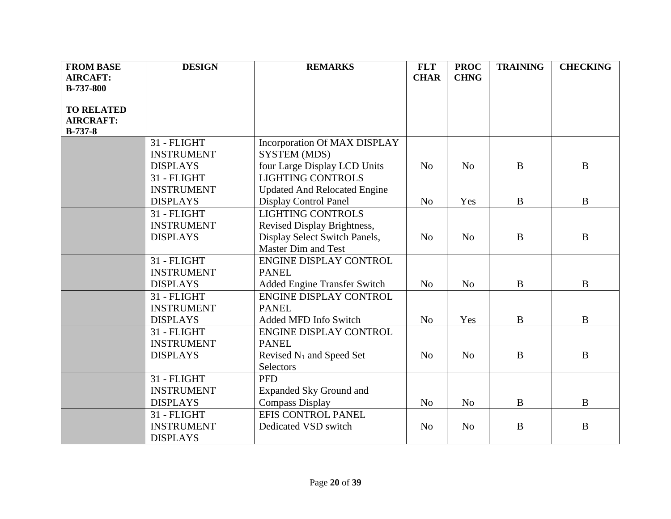| <b>FROM BASE</b>  | <b>DESIGN</b>     | <b>REMARKS</b>                       | <b>FLT</b>     | <b>PROC</b>    | <b>TRAINING</b> | <b>CHECKING</b> |
|-------------------|-------------------|--------------------------------------|----------------|----------------|-----------------|-----------------|
| <b>AIRCAFT:</b>   |                   |                                      | <b>CHAR</b>    | <b>CHNG</b>    |                 |                 |
| <b>B-737-800</b>  |                   |                                      |                |                |                 |                 |
|                   |                   |                                      |                |                |                 |                 |
| <b>TO RELATED</b> |                   |                                      |                |                |                 |                 |
| <b>AIRCRAFT:</b>  |                   |                                      |                |                |                 |                 |
| <b>B-737-8</b>    |                   |                                      |                |                |                 |                 |
|                   | 31 - FLIGHT       | Incorporation Of MAX DISPLAY         |                |                |                 |                 |
|                   | <b>INSTRUMENT</b> | SYSTEM (MDS)                         |                |                |                 |                 |
|                   | <b>DISPLAYS</b>   | four Large Display LCD Units         | N <sub>o</sub> | N <sub>o</sub> | B               | $\mathbf{B}$    |
|                   | 31 - FLIGHT       | <b>LIGHTING CONTROLS</b>             |                |                |                 |                 |
|                   | <b>INSTRUMENT</b> | <b>Updated And Relocated Engine</b>  |                |                |                 |                 |
|                   | <b>DISPLAYS</b>   | <b>Display Control Panel</b>         | N <sub>o</sub> | Yes            | $\bf{B}$        | $\bf{B}$        |
|                   | 31 - FLIGHT       | <b>LIGHTING CONTROLS</b>             |                |                |                 |                 |
|                   | <b>INSTRUMENT</b> | Revised Display Brightness,          |                |                |                 |                 |
|                   | <b>DISPLAYS</b>   | Display Select Switch Panels,        | N <sub>o</sub> | N <sub>o</sub> | $\bf{B}$        | B               |
|                   |                   | Master Dim and Test                  |                |                |                 |                 |
|                   | 31 - FLIGHT       | ENGINE DISPLAY CONTROL               |                |                |                 |                 |
|                   | <b>INSTRUMENT</b> | <b>PANEL</b>                         |                |                |                 |                 |
|                   | <b>DISPLAYS</b>   | Added Engine Transfer Switch         | N <sub>o</sub> | N <sub>o</sub> | $\bf{B}$        | $\bf{B}$        |
|                   | 31 - FLIGHT       | <b>ENGINE DISPLAY CONTROL</b>        |                |                |                 |                 |
|                   | <b>INSTRUMENT</b> | <b>PANEL</b>                         |                |                |                 |                 |
|                   | <b>DISPLAYS</b>   | Added MFD Info Switch                | N <sub>o</sub> | Yes            | $\mathbf{B}$    | B               |
|                   | 31 - FLIGHT       | <b>ENGINE DISPLAY CONTROL</b>        |                |                |                 |                 |
|                   | <b>INSTRUMENT</b> | <b>PANEL</b>                         |                |                |                 |                 |
|                   | <b>DISPLAYS</b>   | Revised N <sub>1</sub> and Speed Set | N <sub>o</sub> | N <sub>o</sub> | $\bf{B}$        | B               |
|                   |                   | Selectors                            |                |                |                 |                 |
|                   | 31 - FLIGHT       | <b>PFD</b>                           |                |                |                 |                 |
|                   | <b>INSTRUMENT</b> | <b>Expanded Sky Ground and</b>       |                |                |                 |                 |
|                   | <b>DISPLAYS</b>   | <b>Compass Display</b>               | N <sub>o</sub> | N <sub>o</sub> | $\mathbf{B}$    | B               |
|                   | 31 - FLIGHT       | EFIS CONTROL PANEL                   |                |                |                 |                 |
|                   | <b>INSTRUMENT</b> | Dedicated VSD switch                 | N <sub>o</sub> | N <sub>o</sub> | $\bf{B}$        | B               |
|                   | <b>DISPLAYS</b>   |                                      |                |                |                 |                 |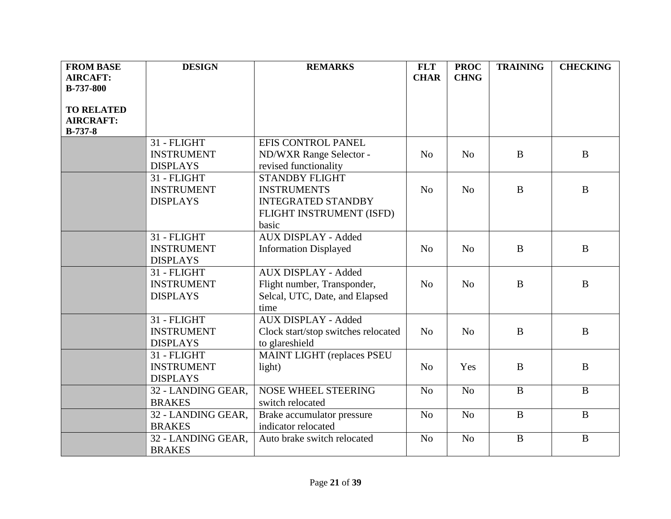| <b>FROM BASE</b>  | <b>DESIGN</b>      | <b>REMARKS</b>                      | <b>FLT</b>     | <b>PROC</b>    | <b>TRAINING</b> | <b>CHECKING</b> |
|-------------------|--------------------|-------------------------------------|----------------|----------------|-----------------|-----------------|
| <b>AIRCAFT:</b>   |                    |                                     | <b>CHAR</b>    | <b>CHNG</b>    |                 |                 |
| <b>B-737-800</b>  |                    |                                     |                |                |                 |                 |
| <b>TO RELATED</b> |                    |                                     |                |                |                 |                 |
| <b>AIRCRAFT:</b>  |                    |                                     |                |                |                 |                 |
| $B-737-8$         |                    |                                     |                |                |                 |                 |
|                   | 31 - FLIGHT        | EFIS CONTROL PANEL                  |                |                |                 |                 |
|                   | <b>INSTRUMENT</b>  | ND/WXR Range Selector -             | N <sub>o</sub> | N <sub>o</sub> | $\bf{B}$        | $\mathbf{B}$    |
|                   | <b>DISPLAYS</b>    | revised functionality               |                |                |                 |                 |
|                   | 31 - FLIGHT        | <b>STANDBY FLIGHT</b>               |                |                |                 |                 |
|                   | <b>INSTRUMENT</b>  | <b>INSTRUMENTS</b>                  | N <sub>o</sub> | N <sub>o</sub> | $\bf{B}$        | B               |
|                   | <b>DISPLAYS</b>    | <b>INTEGRATED STANDBY</b>           |                |                |                 |                 |
|                   |                    | FLIGHT INSTRUMENT (ISFD)            |                |                |                 |                 |
|                   |                    | basic                               |                |                |                 |                 |
|                   | 31 - FLIGHT        | <b>AUX DISPLAY - Added</b>          |                |                |                 |                 |
|                   | <b>INSTRUMENT</b>  | <b>Information Displayed</b>        | N <sub>o</sub> | N <sub>o</sub> | $\bf{B}$        | B               |
|                   | <b>DISPLAYS</b>    |                                     |                |                |                 |                 |
|                   | 31 - FLIGHT        | <b>AUX DISPLAY - Added</b>          |                |                |                 |                 |
|                   | <b>INSTRUMENT</b>  | Flight number, Transponder,         | N <sub>o</sub> | N <sub>0</sub> | $\mathbf{B}$    | $\mathbf{B}$    |
|                   | <b>DISPLAYS</b>    | Selcal, UTC, Date, and Elapsed      |                |                |                 |                 |
|                   |                    | time                                |                |                |                 |                 |
|                   | 31 - FLIGHT        | <b>AUX DISPLAY - Added</b>          |                |                |                 |                 |
|                   | <b>INSTRUMENT</b>  | Clock start/stop switches relocated | N <sub>o</sub> | N <sub>o</sub> | $\bf{B}$        | B               |
|                   | <b>DISPLAYS</b>    | to glareshield                      |                |                |                 |                 |
|                   | 31 - FLIGHT        | <b>MAINT LIGHT (replaces PSEU</b>   |                |                |                 |                 |
|                   | <b>INSTRUMENT</b>  | light)                              | N <sub>o</sub> | Yes            | $\bf{B}$        | $\bf{B}$        |
|                   | <b>DISPLAYS</b>    |                                     |                |                |                 |                 |
|                   | 32 - LANDING GEAR, | <b>NOSE WHEEL STEERING</b>          | N <sub>o</sub> | N <sub>o</sub> | $\mathbf{B}$    | $\mathbf{B}$    |
|                   | <b>BRAKES</b>      | switch relocated                    |                |                |                 |                 |
|                   | 32 - LANDING GEAR, | Brake accumulator pressure          | N <sub>o</sub> | N <sub>o</sub> | $\bf{B}$        | $\mathbf{B}$    |
|                   | <b>BRAKES</b>      | indicator relocated                 |                |                |                 |                 |
|                   | 32 - LANDING GEAR, | Auto brake switch relocated         | N <sub>o</sub> | N <sub>o</sub> | $\bf{B}$        | $\, {\bf B}$    |
|                   | <b>BRAKES</b>      |                                     |                |                |                 |                 |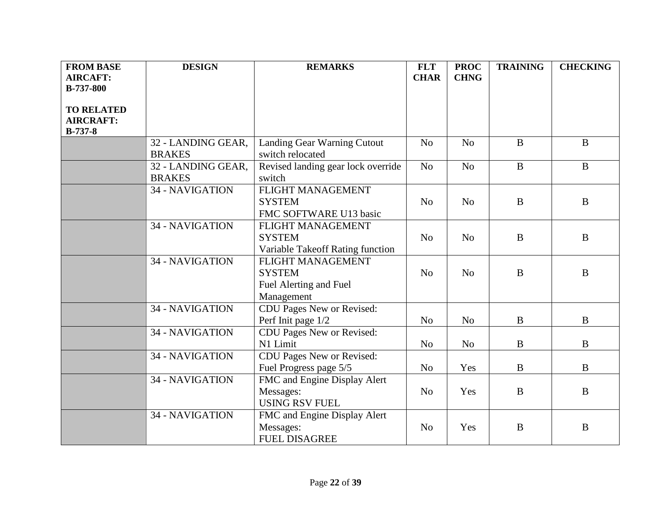| <b>FROM BASE</b>  | <b>DESIGN</b>      | <b>REMARKS</b>                     | <b>FLT</b>     | <b>PROC</b>    | <b>TRAINING</b> | <b>CHECKING</b> |
|-------------------|--------------------|------------------------------------|----------------|----------------|-----------------|-----------------|
| <b>AIRCAFT:</b>   |                    |                                    | <b>CHAR</b>    | <b>CHNG</b>    |                 |                 |
| <b>B-737-800</b>  |                    |                                    |                |                |                 |                 |
|                   |                    |                                    |                |                |                 |                 |
| <b>TO RELATED</b> |                    |                                    |                |                |                 |                 |
| <b>AIRCRAFT:</b>  |                    |                                    |                |                |                 |                 |
| $B-737-8$         |                    |                                    |                |                |                 |                 |
|                   | 32 - LANDING GEAR, | Landing Gear Warning Cutout        | N <sub>o</sub> | N <sub>0</sub> | $\bf{B}$        | $\mathbf{B}$    |
|                   | <b>BRAKES</b>      | switch relocated                   |                |                |                 |                 |
|                   | 32 - LANDING GEAR, | Revised landing gear lock override | No             | N <sub>o</sub> | $\overline{B}$  | $\bf{B}$        |
|                   | <b>BRAKES</b>      | switch                             |                |                |                 |                 |
|                   | 34 - NAVIGATION    | FLIGHT MANAGEMENT                  |                |                |                 |                 |
|                   |                    | <b>SYSTEM</b>                      | No             | N <sub>0</sub> | $\bf{B}$        | B               |
|                   |                    | FMC SOFTWARE U13 basic             |                |                |                 |                 |
|                   | 34 - NAVIGATION    | FLIGHT MANAGEMENT                  |                |                |                 |                 |
|                   |                    | <b>SYSTEM</b>                      | N <sub>o</sub> | N <sub>o</sub> | $\bf{B}$        | $\bf{B}$        |
|                   |                    | Variable Takeoff Rating function   |                |                |                 |                 |
|                   | 34 - NAVIGATION    | FLIGHT MANAGEMENT                  |                |                |                 |                 |
|                   |                    | <b>SYSTEM</b>                      | N <sub>0</sub> | N <sub>0</sub> | B               | B               |
|                   |                    | Fuel Alerting and Fuel             |                |                |                 |                 |
|                   |                    | Management                         |                |                |                 |                 |
|                   | 34 - NAVIGATION    | CDU Pages New or Revised:          |                |                |                 |                 |
|                   |                    | Perf Init page 1/2                 | N <sub>o</sub> | N <sub>o</sub> | $\bf{B}$        | $\bf{B}$        |
|                   | 34 - NAVIGATION    | CDU Pages New or Revised:          |                |                |                 |                 |
|                   |                    | N1 Limit                           | N <sub>o</sub> | N <sub>o</sub> | $\bf{B}$        | B               |
|                   | 34 - NAVIGATION    | CDU Pages New or Revised:          |                |                |                 |                 |
|                   |                    | Fuel Progress page 5/5             | N <sub>o</sub> | Yes            | $\bf{B}$        | $\bf{B}$        |
|                   | 34 - NAVIGATION    | FMC and Engine Display Alert       |                |                |                 |                 |
|                   |                    | Messages:                          | N <sub>o</sub> | Yes            | $\bf{B}$        | B               |
|                   |                    | <b>USING RSV FUEL</b>              |                |                |                 |                 |
|                   | 34 - NAVIGATION    | FMC and Engine Display Alert       |                |                |                 |                 |
|                   |                    | Messages:                          | N <sub>o</sub> | Yes            | B               | B               |
|                   |                    | <b>FUEL DISAGREE</b>               |                |                |                 |                 |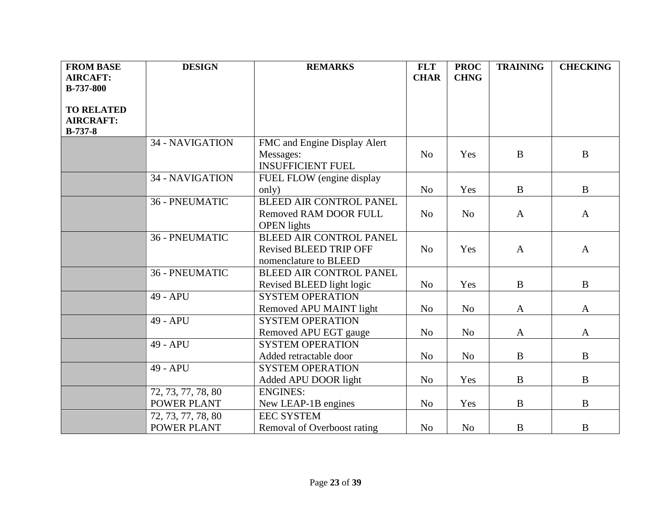| <b>FROM BASE</b>  | <b>DESIGN</b>      | <b>REMARKS</b>                 | <b>FLT</b>     | <b>PROC</b>    | <b>TRAINING</b> | <b>CHECKING</b> |
|-------------------|--------------------|--------------------------------|----------------|----------------|-----------------|-----------------|
| <b>AIRCAFT:</b>   |                    |                                | <b>CHAR</b>    | <b>CHNG</b>    |                 |                 |
| <b>B-737-800</b>  |                    |                                |                |                |                 |                 |
|                   |                    |                                |                |                |                 |                 |
| <b>TO RELATED</b> |                    |                                |                |                |                 |                 |
| <b>AIRCRAFT:</b>  |                    |                                |                |                |                 |                 |
| $B-737-8$         |                    |                                |                |                |                 |                 |
|                   | 34 - NAVIGATION    | FMC and Engine Display Alert   |                |                |                 |                 |
|                   |                    | Messages:                      | N <sub>o</sub> | Yes            | $\bf{B}$        | $\mathbf{B}$    |
|                   |                    | <b>INSUFFICIENT FUEL</b>       |                |                |                 |                 |
|                   | 34 - NAVIGATION    | FUEL FLOW (engine display      |                |                |                 |                 |
|                   |                    | only)                          | N <sub>o</sub> | Yes            | $\, {\bf B}$    | $\, {\bf B}$    |
|                   | 36 - PNEUMATIC     | <b>BLEED AIR CONTROL PANEL</b> |                |                |                 |                 |
|                   |                    | Removed RAM DOOR FULL          | N <sub>o</sub> | N <sub>o</sub> | $\mathbf{A}$    | $\mathbf{A}$    |
|                   |                    | <b>OPEN</b> lights             |                |                |                 |                 |
|                   | 36 - PNEUMATIC     | <b>BLEED AIR CONTROL PANEL</b> |                |                |                 |                 |
|                   |                    | <b>Revised BLEED TRIP OFF</b>  | No             | Yes            | $\mathbf{A}$    | $\mathbf{A}$    |
|                   |                    | nomenclature to BLEED          |                |                |                 |                 |
|                   | 36 - PNEUMATIC     | <b>BLEED AIR CONTROL PANEL</b> |                |                |                 |                 |
|                   |                    | Revised BLEED light logic      | N <sub>o</sub> | Yes            | $\bf{B}$        | $\bf{B}$        |
|                   | 49 - APU           | <b>SYSTEM OPERATION</b>        |                |                |                 |                 |
|                   |                    | Removed APU MAINT light        | N <sub>o</sub> | N <sub>o</sub> | A               | $\mathbf{A}$    |
|                   | 49 - APU           | <b>SYSTEM OPERATION</b>        |                |                |                 |                 |
|                   |                    | Removed APU EGT gauge          | N <sub>o</sub> | N <sub>o</sub> | A               | A               |
|                   | 49 - APU           | <b>SYSTEM OPERATION</b>        |                |                |                 |                 |
|                   |                    | Added retractable door         | N <sub>o</sub> | N <sub>o</sub> | $\bf{B}$        | $\bf{B}$        |
|                   | 49 - APU           | <b>SYSTEM OPERATION</b>        |                |                |                 |                 |
|                   |                    | Added APU DOOR light           | N <sub>o</sub> | Yes            | $\bf{B}$        | $\bf{B}$        |
|                   | 72, 73, 77, 78, 80 | <b>ENGINES:</b>                |                |                |                 |                 |
|                   | <b>POWER PLANT</b> | New LEAP-1B engines            | N <sub>o</sub> | Yes            | $\bf{B}$        | $\mathbf{B}$    |
|                   | 72, 73, 77, 78, 80 | <b>EEC SYSTEM</b>              |                |                |                 |                 |
|                   | POWER PLANT        | Removal of Overboost rating    | N <sub>o</sub> | N <sub>o</sub> | B               | $\bf{B}$        |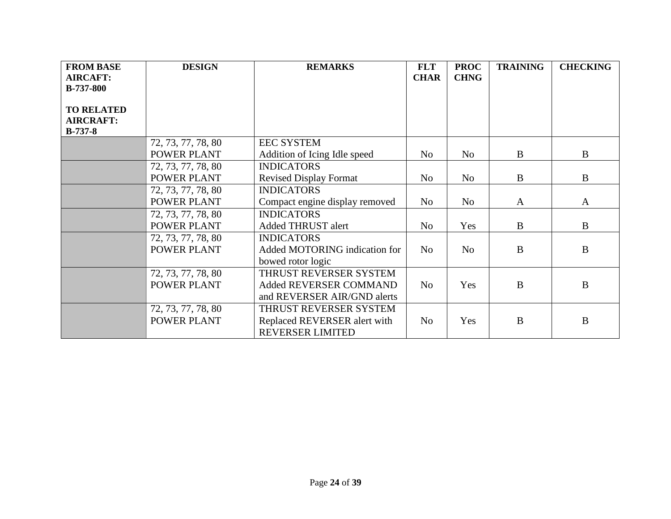| <b>FROM BASE</b><br><b>AIRCAFT:</b><br><b>B-737-800</b> | <b>DESIGN</b>                     | <b>REMARKS</b>                                                                    | <b>FLT</b><br><b>CHAR</b> | <b>PROC</b><br><b>CHNG</b> | <b>TRAINING</b> | <b>CHECKING</b> |
|---------------------------------------------------------|-----------------------------------|-----------------------------------------------------------------------------------|---------------------------|----------------------------|-----------------|-----------------|
| <b>TO RELATED</b><br><b>AIRCRAFT:</b><br>$B-737-8$      |                                   |                                                                                   |                           |                            |                 |                 |
|                                                         | 72, 73, 77, 78, 80                | <b>EEC SYSTEM</b>                                                                 |                           |                            |                 |                 |
|                                                         | POWER PLANT                       | Addition of Icing Idle speed                                                      | N <sub>o</sub>            | N <sub>o</sub>             | $\bf{B}$        | $\bf{B}$        |
|                                                         | 72, 73, 77, 78, 80                | <b>INDICATORS</b>                                                                 |                           |                            |                 |                 |
|                                                         | <b>POWER PLANT</b>                | <b>Revised Display Format</b>                                                     | N <sub>o</sub>            | No                         | $\bf{B}$        | $\bf{B}$        |
|                                                         | 72, 73, 77, 78, 80                | <b>INDICATORS</b>                                                                 |                           |                            |                 |                 |
|                                                         | POWER PLANT                       | Compact engine display removed                                                    | N <sub>o</sub>            | No                         | $\mathbf{A}$    | $\mathbf{A}$    |
|                                                         | 72, 73, 77, 78, 80                | <b>INDICATORS</b>                                                                 |                           |                            |                 |                 |
|                                                         | <b>POWER PLANT</b>                | Added THRUST alert                                                                | N <sub>o</sub>            | Yes                        | $\bf{B}$        | B               |
|                                                         | 72, 73, 77, 78, 80<br>POWER PLANT | <b>INDICATORS</b><br>Added MOTORING indication for<br>bowed rotor logic           | N <sub>o</sub>            | N <sub>o</sub>             | B               | $\bf{B}$        |
|                                                         | 72, 73, 77, 78, 80<br>POWER PLANT | THRUST REVERSER SYSTEM<br>Added REVERSER COMMAND<br>and REVERSER AIR/GND alerts   | N <sub>o</sub>            | Yes                        | B               | $\bf{B}$        |
|                                                         | 72, 73, 77, 78, 80<br>POWER PLANT | THRUST REVERSER SYSTEM<br>Replaced REVERSER alert with<br><b>REVERSER LIMITED</b> | N <sub>o</sub>            | Yes                        | B               | B               |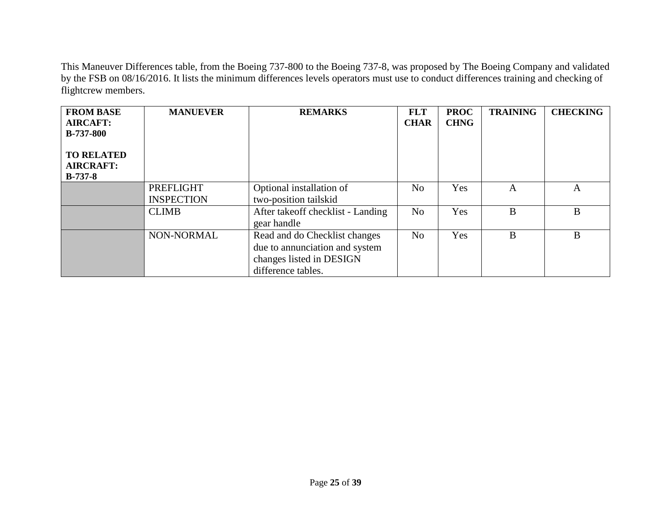This Maneuver Differences table, from the Boeing 737-800 to the Boeing 737-8, was proposed by The Boeing Company and validated by the FSB on 08/16/2016. It lists the minimum differences levels operators must use to conduct differences training and checking of flightcrew members.

| <b>FROM BASE</b><br><b>AIRCAFT:</b><br><b>B-737-800</b><br><b>TO RELATED</b><br><b>AIRCRAFT:</b><br>$B-737-8$ | <b>MANUEVER</b>                | <b>REMARKS</b>                                                                                                    | <b>FLT</b><br><b>CHAR</b> | <b>PROC</b><br><b>CHNG</b> | <b>TRAINING</b> | <b>CHECKING</b> |
|---------------------------------------------------------------------------------------------------------------|--------------------------------|-------------------------------------------------------------------------------------------------------------------|---------------------------|----------------------------|-----------------|-----------------|
|                                                                                                               | PREFLIGHT<br><b>INSPECTION</b> | Optional installation of<br>two-position tailskid                                                                 | N <sub>o</sub>            | Yes                        | A               | $\mathbf{A}$    |
|                                                                                                               | <b>CLIMB</b>                   | After takeoff checklist - Landing<br>gear handle                                                                  | N <sub>o</sub>            | Yes                        | B               | B               |
|                                                                                                               | NON-NORMAL                     | Read and do Checklist changes<br>due to annunciation and system<br>changes listed in DESIGN<br>difference tables. | N <sub>o</sub>            | Yes                        | B               | B               |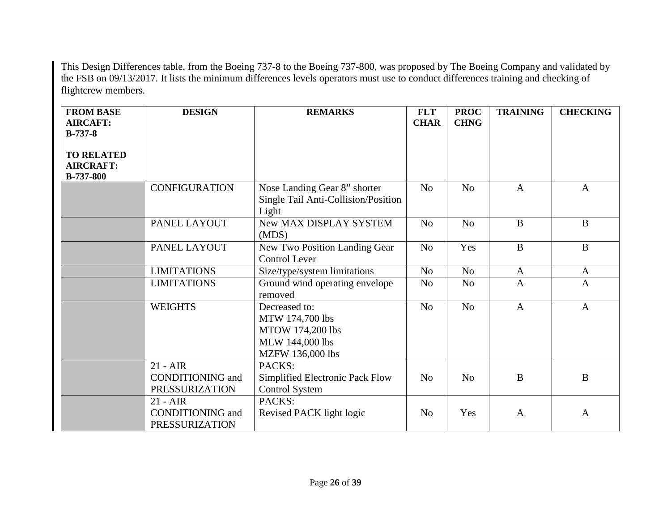This Design Differences table, from the Boeing 737-8 to the Boeing 737-800, was proposed by The Boeing Company and validated by the FSB on 09/13/2017. It lists the minimum differences levels operators must use to conduct differences training and checking of flightcrew members.

| <b>FROM BASE</b><br><b>AIRCAFT:</b><br><b>B-737-8</b>     | <b>DESIGN</b>                                                  | <b>REMARKS</b>                                                                                     | <b>FLT</b><br><b>CHAR</b> | <b>PROC</b><br><b>CHNG</b> | <b>TRAINING</b> | <b>CHECKING</b> |
|-----------------------------------------------------------|----------------------------------------------------------------|----------------------------------------------------------------------------------------------------|---------------------------|----------------------------|-----------------|-----------------|
| <b>TO RELATED</b><br><b>AIRCRAFT:</b><br><b>B-737-800</b> |                                                                |                                                                                                    |                           |                            |                 |                 |
|                                                           | <b>CONFIGURATION</b>                                           | Nose Landing Gear 8" shorter<br>Single Tail Anti-Collision/Position<br>Light                       | N <sub>o</sub>            | N <sub>o</sub>             | $\mathbf{A}$    | $\mathbf{A}$    |
|                                                           | PANEL LAYOUT                                                   | New MAX DISPLAY SYSTEM<br>(MDS)                                                                    | N <sub>o</sub>            | No                         | $\mathbf{B}$    | $\mathbf{B}$    |
|                                                           | PANEL LAYOUT                                                   | <b>New Two Position Landing Gear</b><br><b>Control Lever</b>                                       | N <sub>o</sub>            | Yes                        | $\mathbf{B}$    | $\mathbf{B}$    |
|                                                           | <b>LIMITATIONS</b>                                             | Size/type/system limitations                                                                       | N <sub>o</sub>            | N <sub>o</sub>             | $\mathbf{A}$    | $\mathbf{A}$    |
|                                                           | <b>LIMITATIONS</b>                                             | Ground wind operating envelope<br>removed                                                          | No                        | N <sub>o</sub>             | $\overline{A}$  | $\mathbf{A}$    |
|                                                           | <b>WEIGHTS</b>                                                 | Decreased to:<br>MTW 174,700 lbs<br><b>MTOW 174,200 lbs</b><br>MLW 144,000 lbs<br>MZFW 136,000 lbs | N <sub>o</sub>            | N <sub>o</sub>             | $\mathbf{A}$    | $\mathbf{A}$    |
|                                                           | $21 - AIR$<br><b>CONDITIONING</b> and<br><b>PRESSURIZATION</b> | PACKS:<br>Simplified Electronic Pack Flow<br><b>Control System</b>                                 | N <sub>0</sub>            | N <sub>o</sub>             | $\bf{B}$        | B               |
|                                                           | $21 - AIR$<br><b>CONDITIONING</b> and<br><b>PRESSURIZATION</b> | PACKS:<br>Revised PACK light logic                                                                 | N <sub>0</sub>            | Yes                        | $\mathbf{A}$    | $\mathbf{A}$    |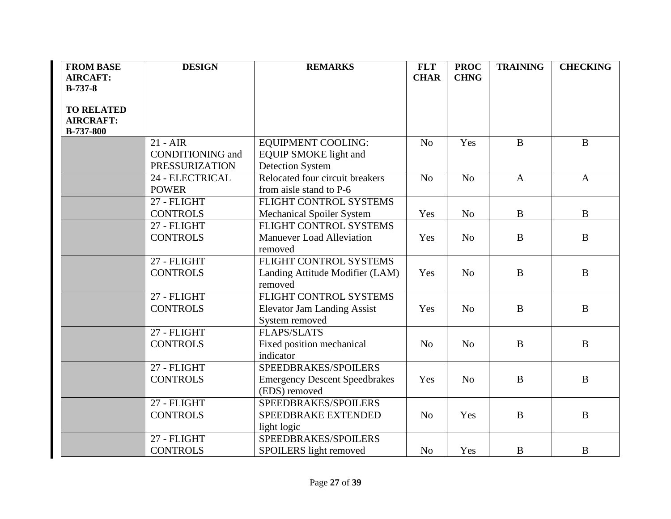| <b>FROM BASE</b>  | <b>DESIGN</b>           | <b>REMARKS</b>                       | <b>FLT</b>     | <b>PROC</b>    | <b>TRAINING</b> | <b>CHECKING</b> |
|-------------------|-------------------------|--------------------------------------|----------------|----------------|-----------------|-----------------|
| <b>AIRCAFT:</b>   |                         |                                      | <b>CHAR</b>    | <b>CHNG</b>    |                 |                 |
| $B-737-8$         |                         |                                      |                |                |                 |                 |
| <b>TO RELATED</b> |                         |                                      |                |                |                 |                 |
| <b>AIRCRAFT:</b>  |                         |                                      |                |                |                 |                 |
| <b>B-737-800</b>  |                         |                                      |                |                |                 |                 |
|                   | $21 - AIR$              | <b>EQUIPMENT COOLING:</b>            | N <sub>o</sub> | Yes            | $\mathbf{B}$    | $\bf{B}$        |
|                   | <b>CONDITIONING</b> and | <b>EQUIP SMOKE</b> light and         |                |                |                 |                 |
|                   | <b>PRESSURIZATION</b>   | <b>Detection System</b>              |                |                |                 |                 |
|                   | 24 - ELECTRICAL         | Relocated four circuit breakers      | N <sub>o</sub> | N <sub>o</sub> | $\mathbf{A}$    | $\mathbf{A}$    |
|                   | <b>POWER</b>            | from aisle stand to P-6              |                |                |                 |                 |
|                   | 27 - FLIGHT             | FLIGHT CONTROL SYSTEMS               |                |                |                 |                 |
|                   | <b>CONTROLS</b>         | <b>Mechanical Spoiler System</b>     | Yes            | N <sub>o</sub> | $\mathbf{B}$    | $\, {\bf B}$    |
|                   | 27 - FLIGHT             | FLIGHT CONTROL SYSTEMS               |                |                |                 |                 |
|                   | <b>CONTROLS</b>         | <b>Manuever Load Alleviation</b>     | Yes            | N <sub>o</sub> | $\mathbf{B}$    | $\bf{B}$        |
|                   |                         | removed                              |                |                |                 |                 |
|                   | 27 - FLIGHT             | FLIGHT CONTROL SYSTEMS               |                |                |                 |                 |
|                   | <b>CONTROLS</b>         | Landing Attitude Modifier (LAM)      | Yes            | N <sub>o</sub> | $\mathbf B$     | $\bf{B}$        |
|                   |                         | removed                              |                |                |                 |                 |
|                   | 27 - FLIGHT             | FLIGHT CONTROL SYSTEMS               |                |                |                 |                 |
|                   | <b>CONTROLS</b>         | <b>Elevator Jam Landing Assist</b>   | Yes            | N <sub>0</sub> | $\mathbf{B}$    | $\bf{B}$        |
|                   |                         | System removed                       |                |                |                 |                 |
|                   | 27 - FLIGHT             | <b>FLAPS/SLATS</b>                   |                |                |                 |                 |
|                   | <b>CONTROLS</b>         | Fixed position mechanical            | N <sub>o</sub> | N <sub>o</sub> | $\mathbf{B}$    | $\, {\bf B}$    |
|                   |                         | indicator                            |                |                |                 |                 |
|                   | 27 - FLIGHT             | SPEEDBRAKES/SPOILERS                 |                |                |                 |                 |
|                   | <b>CONTROLS</b>         | <b>Emergency Descent Speedbrakes</b> | Yes            | N <sub>o</sub> | $\mathbf{B}$    | $\, {\bf B}$    |
|                   |                         | (EDS) removed                        |                |                |                 |                 |
|                   | 27 - FLIGHT             | SPEEDBRAKES/SPOILERS                 |                |                |                 |                 |
|                   | <b>CONTROLS</b>         | SPEEDBRAKE EXTENDED                  | N <sub>o</sub> | Yes            | $\, {\bf B}$    | $\, {\bf B}$    |
|                   |                         | light logic                          |                |                |                 |                 |
|                   | 27 - FLIGHT             | SPEEDBRAKES/SPOILERS                 |                |                |                 |                 |
|                   | <b>CONTROLS</b>         | SPOILERS light removed               | N <sub>o</sub> | Yes            | B               | B               |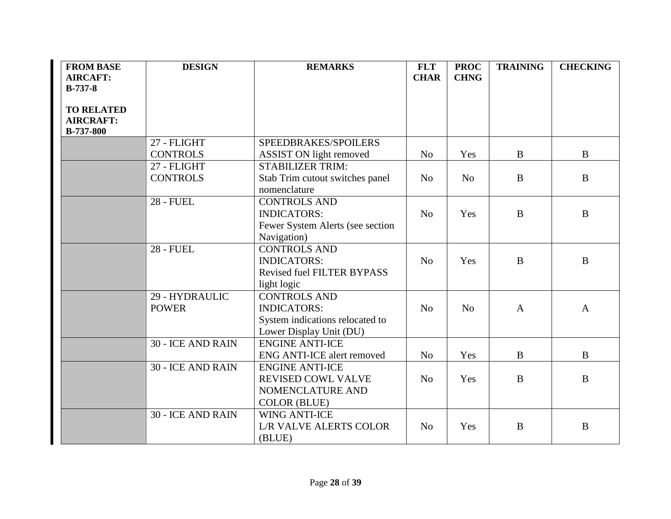| <b>FROM BASE</b>  | <b>DESIGN</b>            | <b>REMARKS</b>                    | <b>FLT</b>     | <b>PROC</b>    | <b>TRAINING</b> | <b>CHECKING</b> |
|-------------------|--------------------------|-----------------------------------|----------------|----------------|-----------------|-----------------|
| <b>AIRCAFT:</b>   |                          |                                   | <b>CHAR</b>    | <b>CHNG</b>    |                 |                 |
| $B-737-8$         |                          |                                   |                |                |                 |                 |
|                   |                          |                                   |                |                |                 |                 |
| <b>TO RELATED</b> |                          |                                   |                |                |                 |                 |
| <b>AIRCRAFT:</b>  |                          |                                   |                |                |                 |                 |
| <b>B-737-800</b>  |                          |                                   |                |                |                 |                 |
|                   | 27 - FLIGHT              | SPEEDBRAKES/SPOILERS              |                |                |                 |                 |
|                   | <b>CONTROLS</b>          | ASSIST ON light removed           | N <sub>0</sub> | Yes            | B               | B               |
|                   | 27 - FLIGHT              | <b>STABILIZER TRIM:</b>           |                |                |                 |                 |
|                   | <b>CONTROLS</b>          | Stab Trim cutout switches panel   | N <sub>o</sub> | N <sub>o</sub> | $\bf{B}$        | $\mathbf{B}$    |
|                   |                          | nomenclature                      |                |                |                 |                 |
|                   | <b>28 - FUEL</b>         | <b>CONTROLS AND</b>               |                |                |                 |                 |
|                   |                          | <b>INDICATORS:</b>                | N <sub>o</sub> | Yes            | $\bf{B}$        | B               |
|                   |                          | Fewer System Alerts (see section  |                |                |                 |                 |
|                   |                          | Navigation)                       |                |                |                 |                 |
|                   | <b>28 - FUEL</b>         | <b>CONTROLS AND</b>               |                |                |                 |                 |
|                   |                          | <b>INDICATORS:</b>                | N <sub>0</sub> | Yes            | $\mathbf{B}$    | $\bf{B}$        |
|                   |                          | <b>Revised fuel FILTER BYPASS</b> |                |                |                 |                 |
|                   |                          | light logic                       |                |                |                 |                 |
|                   | 29 - HYDRAULIC           | <b>CONTROLS AND</b>               |                |                |                 |                 |
|                   | <b>POWER</b>             | <b>INDICATORS:</b>                | N <sub>o</sub> | N <sub>o</sub> | $\mathbf{A}$    | $\mathbf{A}$    |
|                   |                          | System indications relocated to   |                |                |                 |                 |
|                   |                          | Lower Display Unit (DU)           |                |                |                 |                 |
|                   | <b>30 - ICE AND RAIN</b> | <b>ENGINE ANTI-ICE</b>            |                |                |                 |                 |
|                   |                          | <b>ENG ANTI-ICE alert removed</b> | N <sub>o</sub> | Yes            | $\mathbf{B}$    | $\bf{B}$        |
|                   | <b>30 - ICE AND RAIN</b> | <b>ENGINE ANTI-ICE</b>            |                |                |                 |                 |
|                   |                          | <b>REVISED COWL VALVE</b>         | N <sub>0</sub> | Yes            | $\bf{B}$        | $\bf{B}$        |
|                   |                          | NOMENCLATURE AND                  |                |                |                 |                 |
|                   |                          | <b>COLOR (BLUE)</b>               |                |                |                 |                 |
|                   | 30 - ICE AND RAIN        | <b>WING ANTI-ICE</b>              |                |                |                 |                 |
|                   |                          | <b>L/R VALVE ALERTS COLOR</b>     | N <sub>o</sub> | Yes            | $\mathbf{B}$    | $\bf{B}$        |
|                   |                          | (BLUE)                            |                |                |                 |                 |
|                   |                          |                                   |                |                |                 |                 |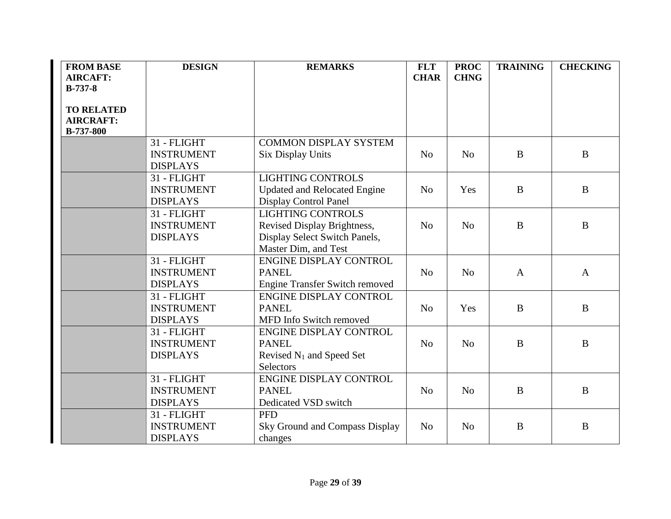| <b>FROM BASE</b>  | <b>DESIGN</b>     | <b>REMARKS</b>                        | <b>FLT</b>     | <b>PROC</b>    | <b>TRAINING</b> | <b>CHECKING</b> |
|-------------------|-------------------|---------------------------------------|----------------|----------------|-----------------|-----------------|
| <b>AIRCAFT:</b>   |                   |                                       | <b>CHAR</b>    | <b>CHNG</b>    |                 |                 |
| $B-737-8$         |                   |                                       |                |                |                 |                 |
|                   |                   |                                       |                |                |                 |                 |
| <b>TO RELATED</b> |                   |                                       |                |                |                 |                 |
| <b>AIRCRAFT:</b>  |                   |                                       |                |                |                 |                 |
| <b>B-737-800</b>  |                   |                                       |                |                |                 |                 |
|                   | 31 - FLIGHT       | <b>COMMON DISPLAY SYSTEM</b>          |                |                |                 |                 |
|                   | <b>INSTRUMENT</b> | <b>Six Display Units</b>              | N <sub>o</sub> | N <sub>o</sub> | $\bf{B}$        | $\bf{B}$        |
|                   | <b>DISPLAYS</b>   |                                       |                |                |                 |                 |
|                   | 31 - FLIGHT       | <b>LIGHTING CONTROLS</b>              |                |                |                 |                 |
|                   | <b>INSTRUMENT</b> | <b>Updated and Relocated Engine</b>   | N <sub>0</sub> | Yes            | $\mathbf{B}$    | $\bf{B}$        |
|                   | <b>DISPLAYS</b>   | <b>Display Control Panel</b>          |                |                |                 |                 |
|                   | 31 - FLIGHT       | <b>LIGHTING CONTROLS</b>              |                |                |                 |                 |
|                   | <b>INSTRUMENT</b> | Revised Display Brightness,           | N <sub>o</sub> | N <sub>o</sub> | $\bf{B}$        | $\bf{B}$        |
|                   | <b>DISPLAYS</b>   | Display Select Switch Panels,         |                |                |                 |                 |
|                   |                   | Master Dim, and Test                  |                |                |                 |                 |
|                   | 31 - FLIGHT       | ENGINE DISPLAY CONTROL                |                |                |                 |                 |
|                   | <b>INSTRUMENT</b> | <b>PANEL</b>                          | N <sub>0</sub> | N <sub>o</sub> | $\mathbf{A}$    | $\mathbf{A}$    |
|                   | <b>DISPLAYS</b>   | <b>Engine Transfer Switch removed</b> |                |                |                 |                 |
|                   | 31 - FLIGHT       | <b>ENGINE DISPLAY CONTROL</b>         |                |                |                 |                 |
|                   | <b>INSTRUMENT</b> | <b>PANEL</b>                          | N <sub>o</sub> | Yes            | $\bf{B}$        | B               |
|                   | <b>DISPLAYS</b>   | MFD Info Switch removed               |                |                |                 |                 |
|                   | 31 - FLIGHT       | <b>ENGINE DISPLAY CONTROL</b>         |                |                |                 |                 |
|                   | <b>INSTRUMENT</b> | <b>PANEL</b>                          | N <sub>o</sub> | N <sub>o</sub> | B               | B               |
|                   | <b>DISPLAYS</b>   | Revised N <sub>1</sub> and Speed Set  |                |                |                 |                 |
|                   |                   | Selectors                             |                |                |                 |                 |
|                   | 31 - FLIGHT       | ENGINE DISPLAY CONTROL                |                |                |                 |                 |
|                   | <b>INSTRUMENT</b> | <b>PANEL</b>                          | N <sub>o</sub> | N <sub>o</sub> | $\bf{B}$        | $\bf{B}$        |
|                   | <b>DISPLAYS</b>   | Dedicated VSD switch                  |                |                |                 |                 |
|                   | 31 - FLIGHT       | <b>PFD</b>                            |                |                |                 |                 |
|                   | <b>INSTRUMENT</b> | Sky Ground and Compass Display        | N <sub>0</sub> | N <sub>o</sub> | B               | B               |
|                   | <b>DISPLAYS</b>   | changes                               |                |                |                 |                 |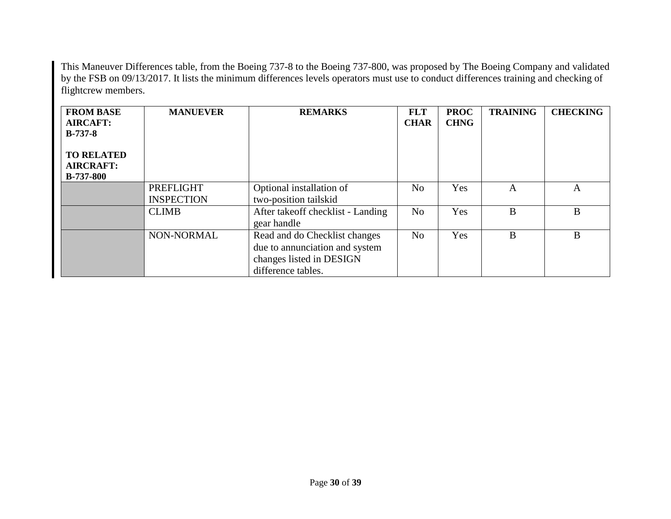This Maneuver Differences table, from the Boeing 737-8 to the Boeing 737-800, was proposed by The Boeing Company and validated by the FSB on 09/13/2017. It lists the minimum differences levels operators must use to conduct differences training and checking of flightcrew members.

| <b>FROM BASE</b><br><b>AIRCAFT:</b><br>$B-737-8$ | <b>MANUEVER</b>   | <b>REMARKS</b>                                   | <b>FLT</b><br><b>CHAR</b> | <b>PROC</b><br><b>CHNG</b> | <b>TRAINING</b> | <b>CHECKING</b> |
|--------------------------------------------------|-------------------|--------------------------------------------------|---------------------------|----------------------------|-----------------|-----------------|
| <b>TO RELATED</b>                                |                   |                                                  |                           |                            |                 |                 |
| <b>AIRCRAFT:</b><br><b>B-737-800</b>             |                   |                                                  |                           |                            |                 |                 |
|                                                  | PREFLIGHT         | Optional installation of                         | No                        | Yes                        | A               | A               |
|                                                  | <b>INSPECTION</b> | two-position tailskid                            |                           |                            |                 |                 |
|                                                  | <b>CLIMB</b>      | After takeoff checklist - Landing<br>gear handle | No                        | Yes                        | B               | B               |
|                                                  | NON-NORMAL        | Read and do Checklist changes                    | N <sub>o</sub>            | Yes                        | B               | B               |
|                                                  |                   | due to annunciation and system                   |                           |                            |                 |                 |
|                                                  |                   | changes listed in DESIGN                         |                           |                            |                 |                 |
|                                                  |                   | difference tables.                               |                           |                            |                 |                 |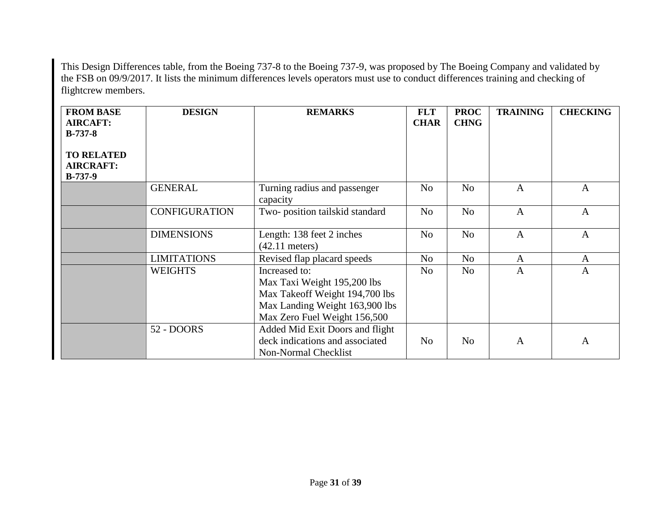This Design Differences table, from the Boeing 737-8 to the Boeing 737-9, was proposed by The Boeing Company and validated by the FSB on 09/9/2017. It lists the minimum differences levels operators must use to conduct differences training and checking of flightcrew members.

| <b>FROM BASE</b><br><b>AIRCAFT:</b><br>$B-737-8$   | <b>DESIGN</b>        | <b>REMARKS</b>                                                                                                                                   | <b>FLT</b><br><b>CHAR</b> | <b>PROC</b><br><b>CHNG</b> | <b>TRAINING</b> | <b>CHECKING</b> |
|----------------------------------------------------|----------------------|--------------------------------------------------------------------------------------------------------------------------------------------------|---------------------------|----------------------------|-----------------|-----------------|
| <b>TO RELATED</b><br><b>AIRCRAFT:</b><br>$B-737-9$ |                      |                                                                                                                                                  |                           |                            |                 |                 |
|                                                    | <b>GENERAL</b>       | Turning radius and passenger<br>capacity                                                                                                         | N <sub>o</sub>            | N <sub>o</sub>             | $\mathbf{A}$    | $\mathbf{A}$    |
|                                                    | <b>CONFIGURATION</b> | Two-position tailskid standard                                                                                                                   | N <sub>o</sub>            | N <sub>o</sub>             | $\overline{A}$  | $\mathbf{A}$    |
|                                                    | <b>DIMENSIONS</b>    | Length: 138 feet 2 inches<br>$(42.11$ meters)                                                                                                    | N <sub>o</sub>            | N <sub>o</sub>             | $\mathbf{A}$    | $\mathbf{A}$    |
|                                                    | <b>LIMITATIONS</b>   | Revised flap placard speeds                                                                                                                      | N <sub>o</sub>            | N <sub>o</sub>             | $\mathbf{A}$    | $\mathbf{A}$    |
|                                                    | <b>WEIGHTS</b>       | Increased to:<br>Max Taxi Weight 195,200 lbs<br>Max Takeoff Weight 194,700 lbs<br>Max Landing Weight 163,900 lbs<br>Max Zero Fuel Weight 156,500 | N <sub>o</sub>            | N <sub>o</sub>             | $\mathbf{A}$    | $\overline{A}$  |
|                                                    | 52 - DOORS           | Added Mid Exit Doors and flight<br>deck indications and associated<br>Non-Normal Checklist                                                       | N <sub>o</sub>            | N <sub>o</sub>             | $\mathbf{A}$    | A               |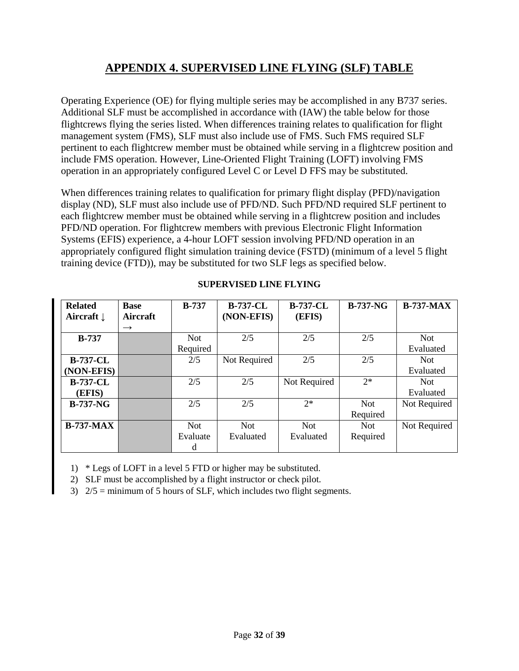# **APPENDIX 4. SUPERVISED LINE FLYING (SLF) TABLE**

<span id="page-31-0"></span>Operating Experience (OE) for flying multiple series may be accomplished in any B737 series. Additional SLF must be accomplished in accordance with (IAW) the table below for those flightcrews flying the series listed. When differences training relates to qualification for flight management system (FMS), SLF must also include use of FMS. Such FMS required SLF pertinent to each flightcrew member must be obtained while serving in a flightcrew position and include FMS operation. However, Line-Oriented Flight Training (LOFT) involving FMS operation in an appropriately configured Level C or Level D FFS may be substituted.

When differences training relates to qualification for primary flight display (PFD)/navigation display (ND), SLF must also include use of PFD/ND. Such PFD/ND required SLF pertinent to each flightcrew member must be obtained while serving in a flightcrew position and includes PFD/ND operation. For flightcrew members with previous Electronic Flight Information Systems (EFIS) experience, a 4-hour LOFT session involving PFD/ND operation in an appropriately configured flight simulation training device (FSTD) (minimum of a level 5 flight training device (FTD)), may be substituted for two SLF legs as specified below.

| <b>Related</b><br>Aircraft $\downarrow$ | <b>Base</b><br>Aircraft | $B-737$    | <b>B-737-CL</b><br>(NON-EFIS) | <b>B-737-CL</b><br>(EFIS) | <b>B-737-NG</b> | <b>B-737-MAX</b> |
|-----------------------------------------|-------------------------|------------|-------------------------------|---------------------------|-----------------|------------------|
|                                         | $\rightarrow$           |            |                               |                           |                 |                  |
| $B-737$                                 |                         | <b>Not</b> | 2/5                           | 2/5                       | 2/5             | <b>Not</b>       |
|                                         |                         | Required   |                               |                           |                 | Evaluated        |
| <b>B-737-CL</b>                         |                         | 2/5        | Not Required                  | 2/5                       | 2/5             | <b>Not</b>       |
| (NON-EFIS)                              |                         |            |                               |                           |                 | Evaluated        |
| <b>B-737-CL</b>                         |                         | 2/5        | 2/5                           | Not Required              | $2^*$           | Not.             |
| (EFIS)                                  |                         |            |                               |                           |                 | Evaluated        |
| <b>B-737-NG</b>                         |                         | 2/5        | 2/5                           | $2*$                      | <b>Not</b>      | Not Required     |
|                                         |                         |            |                               |                           | Required        |                  |
| $B-737-MAX$                             |                         | Not.       | Not.                          | Not.                      | Not.            | Not Required     |
|                                         |                         | Evaluate   | Evaluated                     | Evaluated                 | Required        |                  |
|                                         |                         | d          |                               |                           |                 |                  |

#### **SUPERVISED LINE FLYING**

1) \* Legs of LOFT in a level 5 FTD or higher may be substituted.

2) SLF must be accomplished by a flight instructor or check pilot.

3)  $2/5$  = minimum of 5 hours of SLF, which includes two flight segments.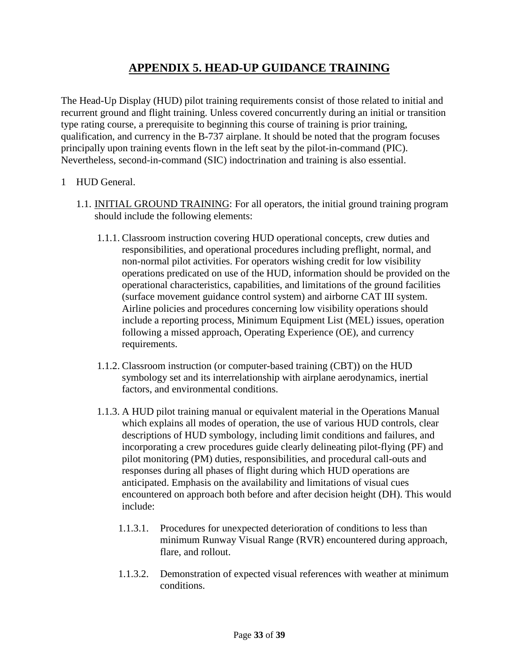### **APPENDIX 5. HEAD-UP GUIDANCE TRAINING**

<span id="page-32-0"></span>The Head-Up Display (HUD) pilot training requirements consist of those related to initial and recurrent ground and flight training. Unless covered concurrently during an initial or transition type rating course, a prerequisite to beginning this course of training is prior training, qualification, and currency in the B-737 airplane. It should be noted that the program focuses principally upon training events flown in the left seat by the pilot-in-command (PIC). Nevertheless, second-in-command (SIC) indoctrination and training is also essential.

#### 1 HUD General.

- 1.1. INITIAL GROUND TRAINING: For all operators, the initial ground training program should include the following elements:
	- 1.1.1. Classroom instruction covering HUD operational concepts, crew duties and responsibilities, and operational procedures including preflight, normal, and non-normal pilot activities. For operators wishing credit for low visibility operations predicated on use of the HUD, information should be provided on the operational characteristics, capabilities, and limitations of the ground facilities (surface movement guidance control system) and airborne CAT III system. Airline policies and procedures concerning low visibility operations should include a reporting process, Minimum Equipment List (MEL) issues, operation following a missed approach, Operating Experience (OE), and currency requirements.
	- 1.1.2. Classroom instruction (or computer-based training (CBT)) on the HUD symbology set and its interrelationship with airplane aerodynamics, inertial factors, and environmental conditions.
	- 1.1.3. A HUD pilot training manual or equivalent material in the Operations Manual which explains all modes of operation, the use of various HUD controls, clear descriptions of HUD symbology, including limit conditions and failures, and incorporating a crew procedures guide clearly delineating pilot-flying (PF) and pilot monitoring (PM) duties, responsibilities, and procedural call-outs and responses during all phases of flight during which HUD operations are anticipated. Emphasis on the availability and limitations of visual cues encountered on approach both before and after decision height (DH). This would include:
		- 1.1.3.1. Procedures for unexpected deterioration of conditions to less than minimum Runway Visual Range (RVR) encountered during approach, flare, and rollout.
		- 1.1.3.2. Demonstration of expected visual references with weather at minimum conditions.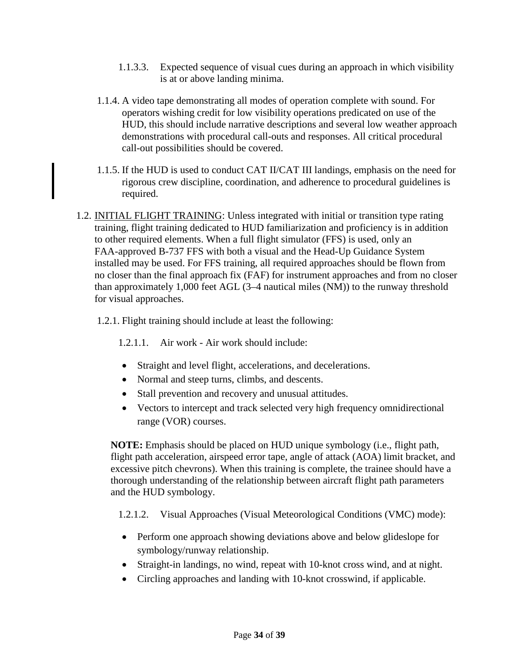- 1.1.3.3. Expected sequence of visual cues during an approach in which visibility is at or above landing minima.
- 1.1.4. A video tape demonstrating all modes of operation complete with sound. For operators wishing credit for low visibility operations predicated on use of the HUD, this should include narrative descriptions and several low weather approach demonstrations with procedural call-outs and responses. All critical procedural call-out possibilities should be covered.
- 1.1.5. If the HUD is used to conduct CAT II/CAT III landings, emphasis on the need for rigorous crew discipline, coordination, and adherence to procedural guidelines is required.
- 1.2. INITIAL FLIGHT TRAINING: Unless integrated with initial or transition type rating training, flight training dedicated to HUD familiarization and proficiency is in addition to other required elements. When a full flight simulator (FFS) is used, only an FAA-approved B-737 FFS with both a visual and the Head-Up Guidance System installed may be used. For FFS training, all required approaches should be flown from no closer than the final approach fix (FAF) for instrument approaches and from no closer than approximately 1,000 feet AGL (3–4 nautical miles (NM)) to the runway threshold for visual approaches.
	- 1.2.1. Flight training should include at least the following:

1.2.1.1. Air work - Air work should include:

- Straight and level flight, accelerations, and decelerations.
- Normal and steep turns, climbs, and descents.
- Stall prevention and recovery and unusual attitudes.
- Vectors to intercept and track selected very high frequency omnidirectional range (VOR) courses.

**NOTE:** Emphasis should be placed on HUD unique symbology (i.e., flight path, flight path acceleration, airspeed error tape, angle of attack (AOA) limit bracket, and excessive pitch chevrons). When this training is complete, the trainee should have a thorough understanding of the relationship between aircraft flight path parameters and the HUD symbology.

1.2.1.2. Visual Approaches (Visual Meteorological Conditions (VMC) mode):

- Perform one approach showing deviations above and below glideslope for symbology/runway relationship.
- Straight-in landings, no wind, repeat with 10-knot cross wind, and at night.
- Circling approaches and landing with 10-knot crosswind, if applicable.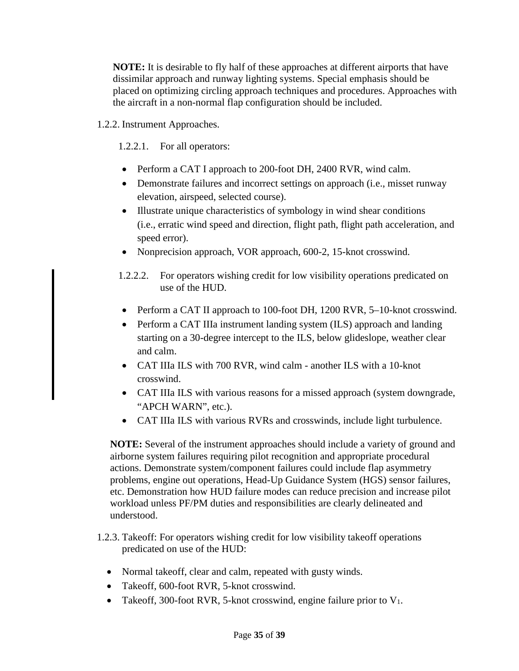**NOTE:** It is desirable to fly half of these approaches at different airports that have dissimilar approach and runway lighting systems. Special emphasis should be placed on optimizing circling approach techniques and procedures. Approaches with the aircraft in a non-normal flap configuration should be included.

1.2.2. Instrument Approaches.

1.2.2.1. For all operators:

- Perform a CAT I approach to 200-foot DH, 2400 RVR, wind calm.
- Demonstrate failures and incorrect settings on approach (i.e., misset runway elevation, airspeed, selected course).
- Illustrate unique characteristics of symbology in wind shear conditions (i.e., erratic wind speed and direction, flight path, flight path acceleration, and speed error).
- Nonprecision approach, VOR approach, 600-2, 15-knot crosswind.
- 1.2.2.2. For operators wishing credit for low visibility operations predicated on use of the HUD.
- Perform a CAT II approach to 100-foot DH, 1200 RVR, 5-10-knot crosswind.
- Perform a CAT IIIa instrument landing system (ILS) approach and landing starting on a 30-degree intercept to the ILS, below glideslope, weather clear and calm.
- CAT IIIa ILS with 700 RVR, wind calm another ILS with a 10-knot crosswind.
- CAT IIIa ILS with various reasons for a missed approach (system downgrade, "APCH WARN", etc.).
- CAT IIIa ILS with various RVRs and crosswinds, include light turbulence.

**NOTE:** Several of the instrument approaches should include a variety of ground and airborne system failures requiring pilot recognition and appropriate procedural actions. Demonstrate system/component failures could include flap asymmetry problems, engine out operations, Head-Up Guidance System (HGS) sensor failures, etc. Demonstration how HUD failure modes can reduce precision and increase pilot workload unless PF/PM duties and responsibilities are clearly delineated and understood.

- 1.2.3. Takeoff: For operators wishing credit for low visibility takeoff operations predicated on use of the HUD:
	- Normal takeoff, clear and calm, repeated with gusty winds.
	- Takeoff, 600-foot RVR, 5-knot crosswind.
	- Takeoff, 300-foot RVR, 5-knot crosswind, engine failure prior to  $V_1$ .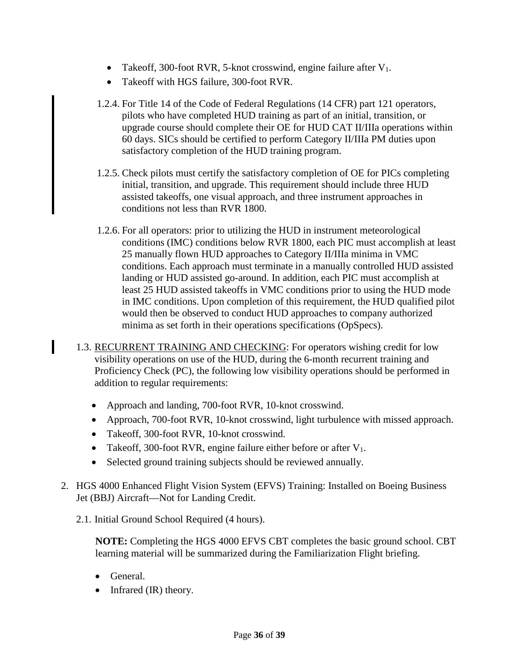- Takeoff, 300-foot RVR, 5-knot crosswind, engine failure after  $V_1$ .
- Takeoff with HGS failure, 300-foot RVR.
- 1.2.4. For Title 14 of the Code of Federal Regulations (14 CFR) part 121 operators, pilots who have completed HUD training as part of an initial, transition, or upgrade course should complete their OE for HUD CAT II/IIIa operations within 60 days. SICs should be certified to perform Category II/IIIa PM duties upon satisfactory completion of the HUD training program.
- 1.2.5. Check pilots must certify the satisfactory completion of OE for PICs completing initial, transition, and upgrade. This requirement should include three HUD assisted takeoffs, one visual approach, and three instrument approaches in conditions not less than RVR 1800.
- 1.2.6. For all operators: prior to utilizing the HUD in instrument meteorological conditions (IMC) conditions below RVR 1800, each PIC must accomplish at least 25 manually flown HUD approaches to Category II/IIIa minima in VMC conditions. Each approach must terminate in a manually controlled HUD assisted landing or HUD assisted go-around. In addition, each PIC must accomplish at least 25 HUD assisted takeoffs in VMC conditions prior to using the HUD mode in IMC conditions. Upon completion of this requirement, the HUD qualified pilot would then be observed to conduct HUD approaches to company authorized minima as set forth in their operations specifications (OpSpecs).
- 1.3. RECURRENT TRAINING AND CHECKING: For operators wishing credit for low visibility operations on use of the HUD, during the 6-month recurrent training and Proficiency Check (PC), the following low visibility operations should be performed in addition to regular requirements:
	- Approach and landing, 700-foot RVR, 10-knot crosswind.
	- Approach, 700-foot RVR, 10-knot crosswind, light turbulence with missed approach.
	- Takeoff, 300-foot RVR, 10-knot crosswind.
	- Takeoff, 300-foot RVR, engine failure either before or after  $V_1$ .
	- Selected ground training subjects should be reviewed annually.
- 2. HGS 4000 Enhanced Flight Vision System (EFVS) Training: Installed on Boeing Business Jet (BBJ) Aircraft—Not for Landing Credit.
	- 2.1. Initial Ground School Required (4 hours).

**NOTE:** Completing the HGS 4000 EFVS CBT completes the basic ground school. CBT learning material will be summarized during the Familiarization Flight briefing.

• General.

I

• Infrared (IR) theory.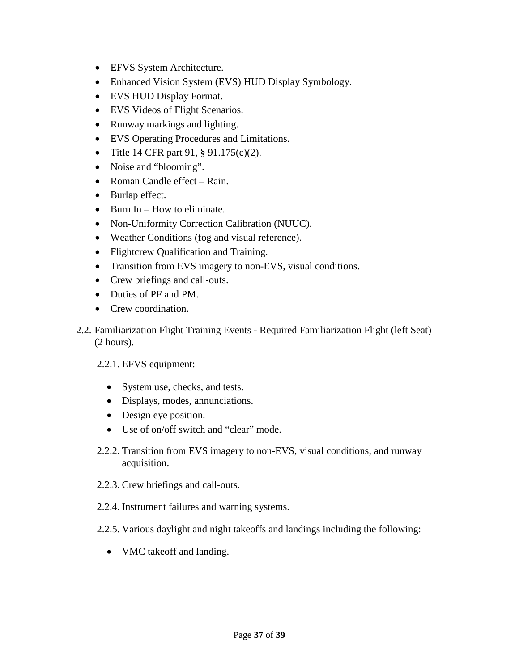- EFVS System Architecture.
- Enhanced Vision System (EVS) HUD Display Symbology.
- EVS HUD Display Format.
- EVS Videos of Flight Scenarios.
- Runway markings and lighting.
- EVS Operating Procedures and Limitations.
- Title 14 CFR part 91, § 91.175(c)(2).
- Noise and "blooming".
- Roman Candle effect Rain.
- Burlap effect.
- Burn In How to eliminate.
- Non-Uniformity Correction Calibration (NUUC).
- Weather Conditions (fog and visual reference).
- Flightcrew Qualification and Training.
- Transition from EVS imagery to non-EVS, visual conditions.
- Crew briefings and call-outs.
- Duties of PF and PM.
- Crew coordination.
- 2.2. Familiarization Flight Training Events Required Familiarization Flight (left Seat) (2 hours).
	- 2.2.1. EFVS equipment:
		- System use, checks, and tests.
		- Displays, modes, annunciations.
		- Design eye position.
		- Use of on/off switch and "clear" mode.
	- 2.2.2. Transition from EVS imagery to non-EVS, visual conditions, and runway acquisition.
	- 2.2.3. Crew briefings and call-outs.
	- 2.2.4. Instrument failures and warning systems.
	- 2.2.5. Various daylight and night takeoffs and landings including the following:
		- VMC takeoff and landing.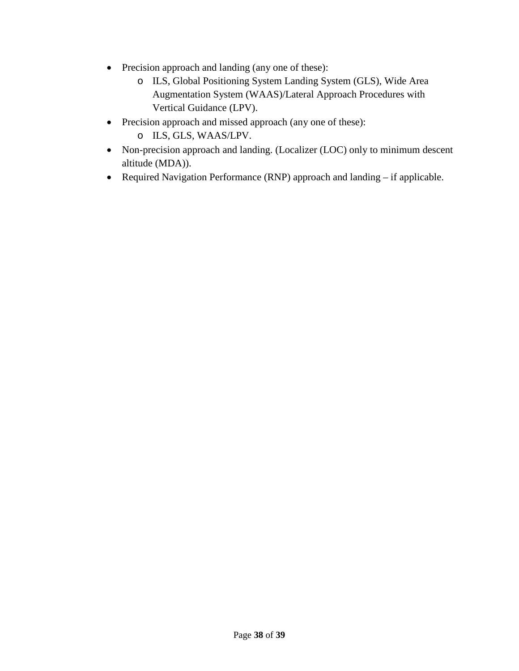- Precision approach and landing (any one of these):
	- o ILS, Global Positioning System Landing System (GLS), Wide Area Augmentation System (WAAS)/Lateral Approach Procedures with Vertical Guidance (LPV).
- Precision approach and missed approach (any one of these):
	- o ILS, GLS, WAAS/LPV.
- Non-precision approach and landing. (Localizer (LOC) only to minimum descent altitude (MDA)).
- Required Navigation Performance (RNP) approach and landing if applicable.